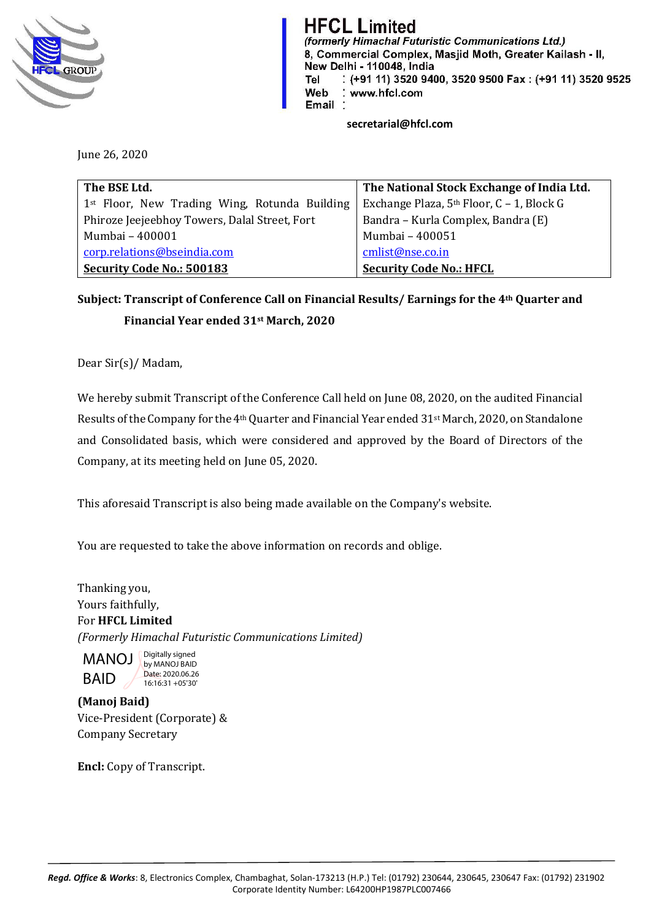

**HFCL Limited** (formerly Himachal Futuristic Communications Ltd.) 8, Commercial Complex, Masjid Moth, Greater Kailash - II, New Delhi - 110048, India : (+91 11) 3520 9400, 3520 9500 Fax: (+91 11) 3520 9525 Tel Web : www.hfcl.com Email

 **secretarial@hfcl.com**

June 26, 2020

| The BSE Ltd.                                              | The National Stock Exchange of India Ltd.             |
|-----------------------------------------------------------|-------------------------------------------------------|
| 1 <sup>st</sup> Floor, New Trading Wing, Rotunda Building | Exchange Plaza, 5 <sup>th</sup> Floor, C - 1, Block G |
| Phiroze Jeejeebhoy Towers, Dalal Street, Fort             | Bandra - Kurla Complex, Bandra (E)                    |
| Mumbai - 400001                                           | Mumbai - 400051                                       |
| corp.relations@bseindia.com                               | cmlist@nse.co.in                                      |
| <b>Security Code No.: 500183</b>                          | <b>Security Code No.: HFCL</b>                        |

**Subject: Transcript of Conference Call on Financial Results/ Earnings for the 4th Quarter and Financial Year ended 31st March, 2020**

Dear Sir(s)/ Madam,

We hereby submit Transcript of the Conference Call held on June 08, 2020, on the audited Financial Results of the Company for the 4<sup>th</sup> Quarter and Financial Year ended 31<sup>st</sup> March, 2020, on Standalone and Consolidated basis, which were considered and approved by the Board of Directors of the Company, at its meeting held on June 05, 2020.

This aforesaid Transcript is also being made available on the Company's website.

You are requested to take the above information on records and oblige.

Thanking you, Yours faithfully, For **HFCL Limited** *(Formerly Himachal Futuristic Communications Limited)*



by MANOJ BAID Date: 2020.06.26 16:16:31 +05'30'

**(Manoj Baid)** Vice-President (Corporate) & Company Secretary

**Encl:** Copy of Transcript.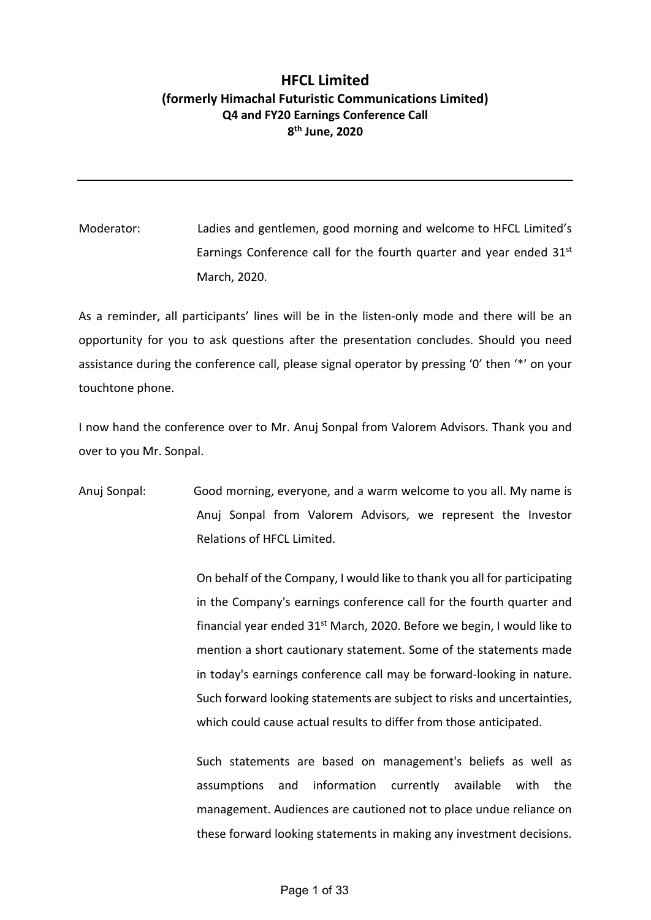## **HFCL Limited (formerly Himachal Futuristic Communications Limited) Q4 and FY20 Earnings Conference Call 8th June, 2020**

Moderator: Ladies and gentlemen, good morning and welcome to HFCL Limited's Earnings Conference call for the fourth quarter and year ended  $31<sup>st</sup>$ March, 2020.

As a reminder, all participants' lines will be in the listen-only mode and there will be an opportunity for you to ask questions after the presentation concludes. Should you need assistance during the conference call, please signal operator by pressing '0' then '\*' on your touchtone phone.

I now hand the conference over to Mr. Anuj Sonpal from Valorem Advisors. Thank you and over to you Mr. Sonpal.

Anuj Sonpal: Good morning, everyone, and a warm welcome to you all. My name is Anuj Sonpal from Valorem Advisors, we represent the Investor Relations of HFCL Limited.

> On behalf of the Company, I would like to thank you all for participating in the Company's earnings conference call for the fourth quarter and financial year ended  $31^{st}$  March, 2020. Before we begin, I would like to mention a short cautionary statement. Some of the statements made in today's earnings conference call may be forward-looking in nature. Such forward looking statements are subject to risks and uncertainties, which could cause actual results to differ from those anticipated.

> Such statements are based on management's beliefs as well as assumptions and information currently available with the management. Audiences are cautioned not to place undue reliance on these forward looking statements in making any investment decisions.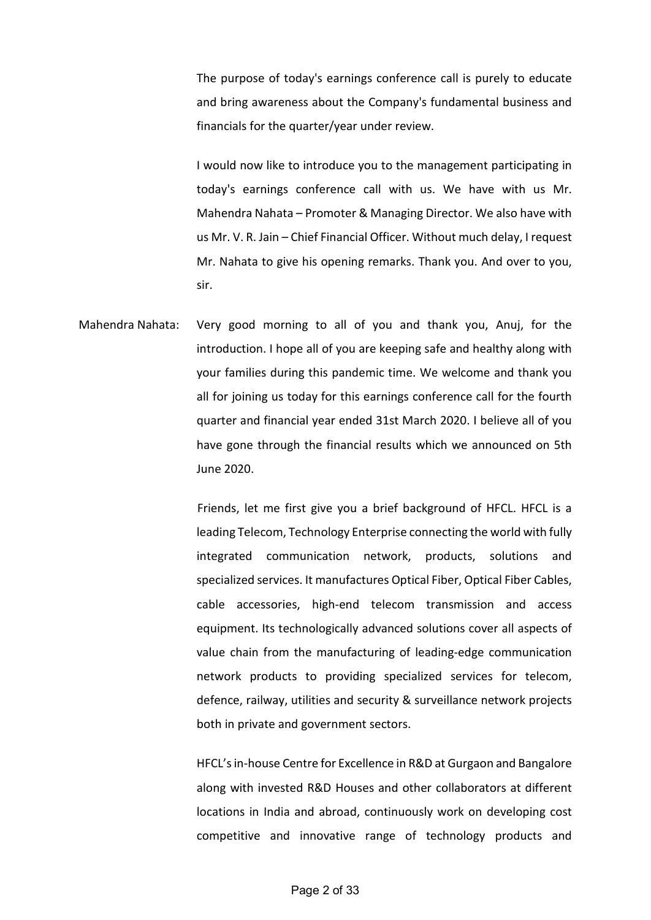The purpose of today's earnings conference call is purely to educate and bring awareness about the Company's fundamental business and financials for the quarter/year under review.

I would now like to introduce you to the management participating in today's earnings conference call with us. We have with us Mr. Mahendra Nahata – Promoter & Managing Director. We also have with us Mr. V. R. Jain – Chief Financial Officer. Without much delay, I request Mr. Nahata to give his opening remarks. Thank you. And over to you, sir.

Mahendra Nahata: Very good morning to all of you and thank you, Anuj, for the introduction. I hope all of you are keeping safe and healthy along with your families during this pandemic time. We welcome and thank you all for joining us today for this earnings conference call for the fourth quarter and financial year ended 31st March 2020. I believe all of you have gone through the financial results which we announced on 5th June 2020.

> Friends, let me first give you a brief background of HFCL. HFCL is a leading Telecom, Technology Enterprise connecting the world with fully integrated communication network, products, solutions and specialized services. It manufactures Optical Fiber, Optical Fiber Cables, cable accessories, high-end telecom transmission and access equipment. Its technologically advanced solutions cover all aspects of value chain from the manufacturing of leading-edge communication network products to providing specialized services for telecom, defence, railway, utilities and security & surveillance network projects both in private and government sectors.

> HFCL's in-house Centre for Excellence in R&D at Gurgaon and Bangalore along with invested R&D Houses and other collaborators at different locations in India and abroad, continuously work on developing cost competitive and innovative range of technology products and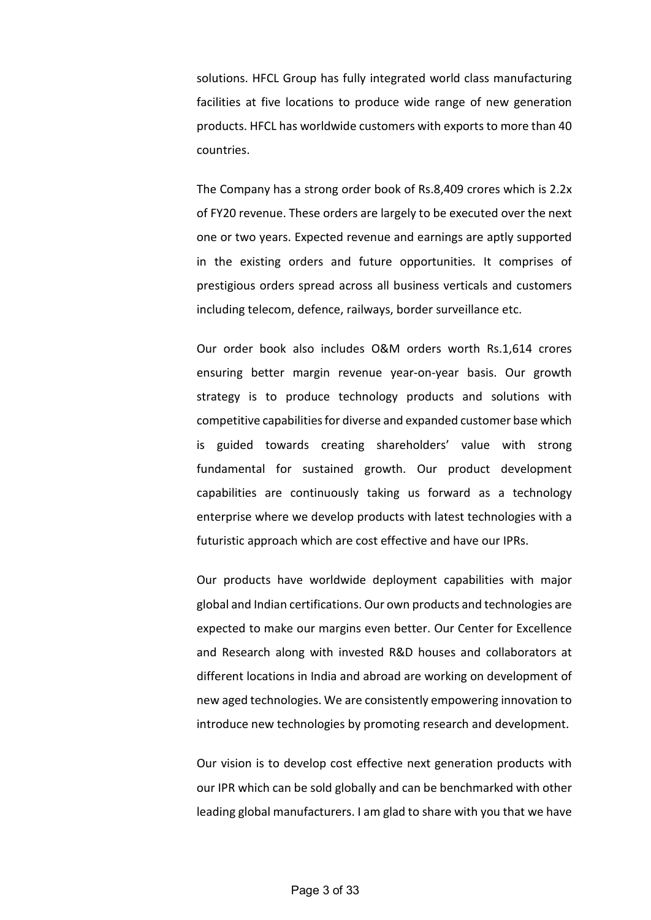solutions. HFCL Group has fully integrated world class manufacturing facilities at five locations to produce wide range of new generation products. HFCL has worldwide customers with exports to more than 40 countries.

The Company has a strong order book of Rs.8,409 crores which is 2.2x of FY20 revenue. These orders are largely to be executed over the next one or two years. Expected revenue and earnings are aptly supported in the existing orders and future opportunities. It comprises of prestigious orders spread across all business verticals and customers including telecom, defence, railways, border surveillance etc.

Our order book also includes O&M orders worth Rs.1,614 crores ensuring better margin revenue year-on-year basis. Our growth strategy is to produce technology products and solutions with competitive capabilities for diverse and expanded customer base which is guided towards creating shareholders' value with strong fundamental for sustained growth. Our product development capabilities are continuously taking us forward as a technology enterprise where we develop products with latest technologies with a futuristic approach which are cost effective and have our IPRs.

Our products have worldwide deployment capabilities with major global and Indian certifications. Our own products and technologies are expected to make our margins even better. Our Center for Excellence and Research along with invested R&D houses and collaborators at different locations in India and abroad are working on development of new aged technologies. We are consistently empowering innovation to introduce new technologies by promoting research and development.

Our vision is to develop cost effective next generation products with our IPR which can be sold globally and can be benchmarked with other leading global manufacturers. I am glad to share with you that we have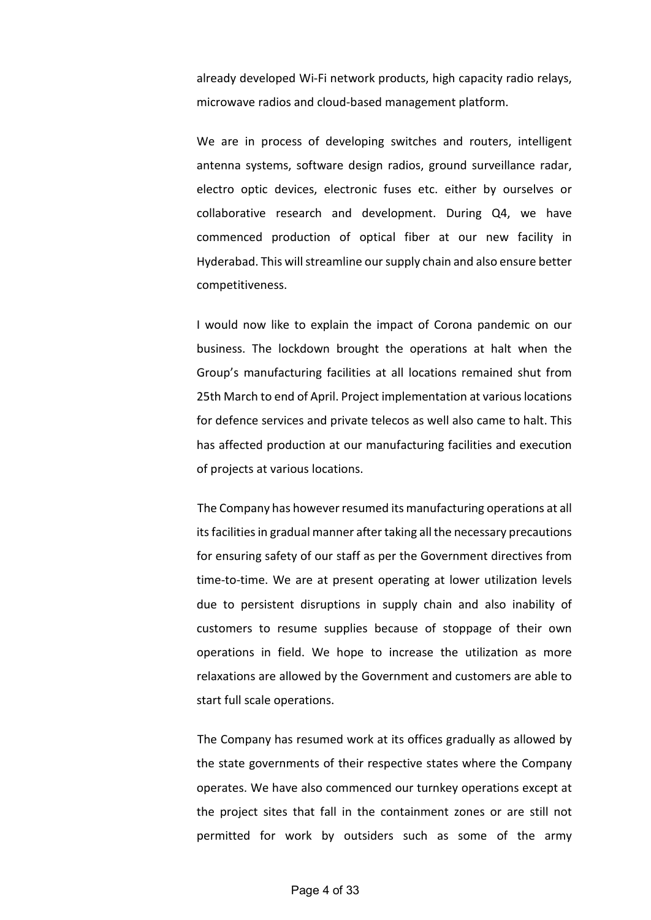already developed Wi-Fi network products, high capacity radio relays, microwave radios and cloud-based management platform.

We are in process of developing switches and routers, intelligent antenna systems, software design radios, ground surveillance radar, electro optic devices, electronic fuses etc. either by ourselves or collaborative research and development. During Q4, we have commenced production of optical fiber at our new facility in Hyderabad. This will streamline our supply chain and also ensure better competitiveness.

I would now like to explain the impact of Corona pandemic on our business. The lockdown brought the operations at halt when the Group's manufacturing facilities at all locations remained shut from 25th March to end of April. Project implementation at various locations for defence services and private telecos as well also came to halt. This has affected production at our manufacturing facilities and execution of projects at various locations.

 The Company has however resumed its manufacturing operations at all its facilities in gradual manner after taking all the necessary precautions for ensuring safety of our staff as per the Government directives from time-to-time. We are at present operating at lower utilization levels due to persistent disruptions in supply chain and also inability of customers to resume supplies because of stoppage of their own operations in field. We hope to increase the utilization as more relaxations are allowed by the Government and customers are able to start full scale operations.

 The Company has resumed work at its offices gradually as allowed by the state governments of their respective states where the Company operates. We have also commenced our turnkey operations except at the project sites that fall in the containment zones or are still not permitted for work by outsiders such as some of the army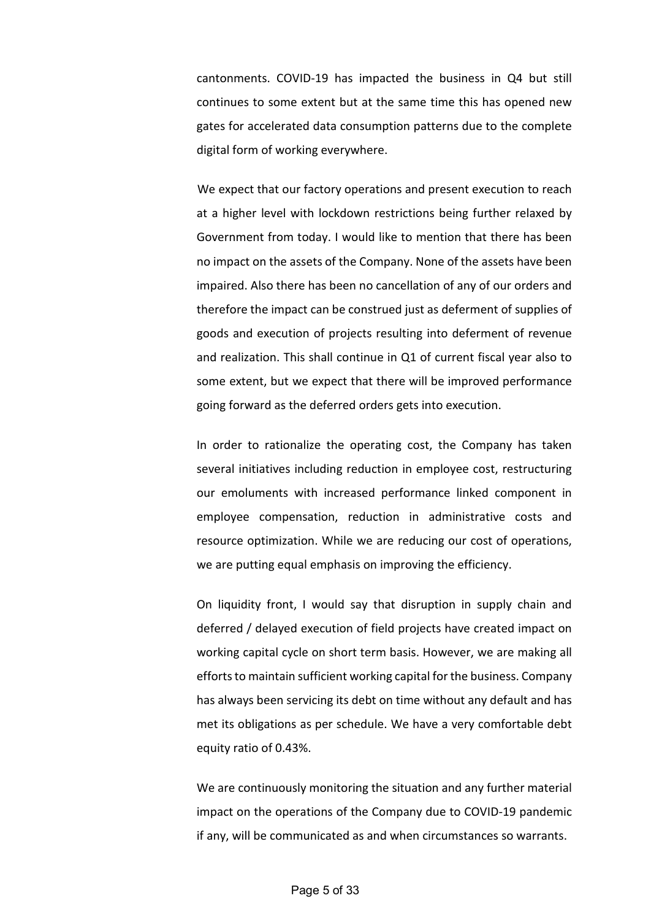cantonments. COVID-19 has impacted the business in Q4 but still continues to some extent but at the same time this has opened new gates for accelerated data consumption patterns due to the complete digital form of working everywhere.

 We expect that our factory operations and present execution to reach at a higher level with lockdown restrictions being further relaxed by Government from today. I would like to mention that there has been no impact on the assets of the Company. None of the assets have been impaired. Also there has been no cancellation of any of our orders and therefore the impact can be construed just as deferment of supplies of goods and execution of projects resulting into deferment of revenue and realization. This shall continue in Q1 of current fiscal year also to some extent, but we expect that there will be improved performance going forward as the deferred orders gets into execution.

In order to rationalize the operating cost, the Company has taken several initiatives including reduction in employee cost, restructuring our emoluments with increased performance linked component in employee compensation, reduction in administrative costs and resource optimization. While we are reducing our cost of operations, we are putting equal emphasis on improving the efficiency.

On liquidity front, I would say that disruption in supply chain and deferred / delayed execution of field projects have created impact on working capital cycle on short term basis. However, we are making all efforts to maintain sufficient working capital for the business. Company has always been servicing its debt on time without any default and has met its obligations as per schedule. We have a very comfortable debt equity ratio of 0.43%.

We are continuously monitoring the situation and any further material impact on the operations of the Company due to COVID-19 pandemic if any, will be communicated as and when circumstances so warrants.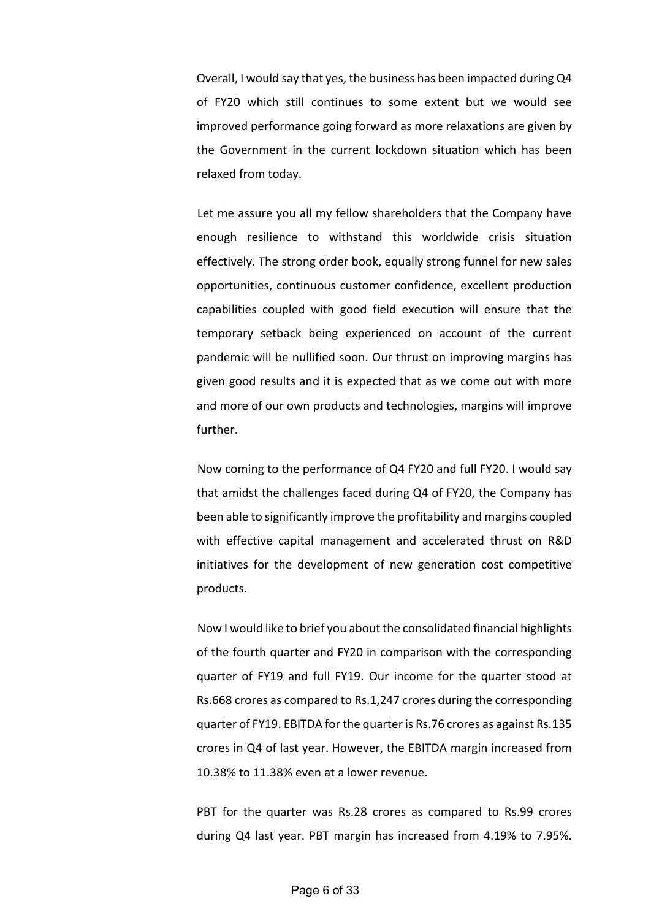Overall, I would say that yes, the business has been impacted during Q4 of FY20 which still continues to some extent but we would see improved performance going forward as more relaxations are given by the Government in the current lockdown situation which has been relaxed from today.

 Let me assure you all my fellow shareholders that the Company have enough resilience to withstand this worldwide crisis situation effectively. The strong order book, equally strong funnel for new sales opportunities, continuous customer confidence, excellent production capabilities coupled with good field execution will ensure that the temporary setback being experienced on account of the current pandemic will be nullified soon. Our thrust on improving margins has given good results and it is expected that as we come out with more and more of our own products and technologies, margins will improve further.

 Now coming to the performance of Q4 FY20 and full FY20. I would say that amidst the challenges faced during Q4 of FY20, the Company has been able to significantly improve the profitability and margins coupled with effective capital management and accelerated thrust on R&D initiatives for the development of new generation cost competitive products.

 Now I would like to brief you about the consolidated financial highlights of the fourth quarter and FY20 in comparison with the corresponding quarter of FY19 and full FY19. Our income for the quarter stood at Rs.668 crores as compared to Rs.1,247 crores during the corresponding quarter of FY19. EBITDA for the quarter is Rs.76 crores as against Rs.135 crores in Q4 of last year. However, the EBITDA margin increased from 10.38% to 11.38% even at a lower revenue.

 PBT for the quarter was Rs.28 crores as compared to Rs.99 crores during Q4 last year. PBT margin has increased from 4.19% to 7.95%.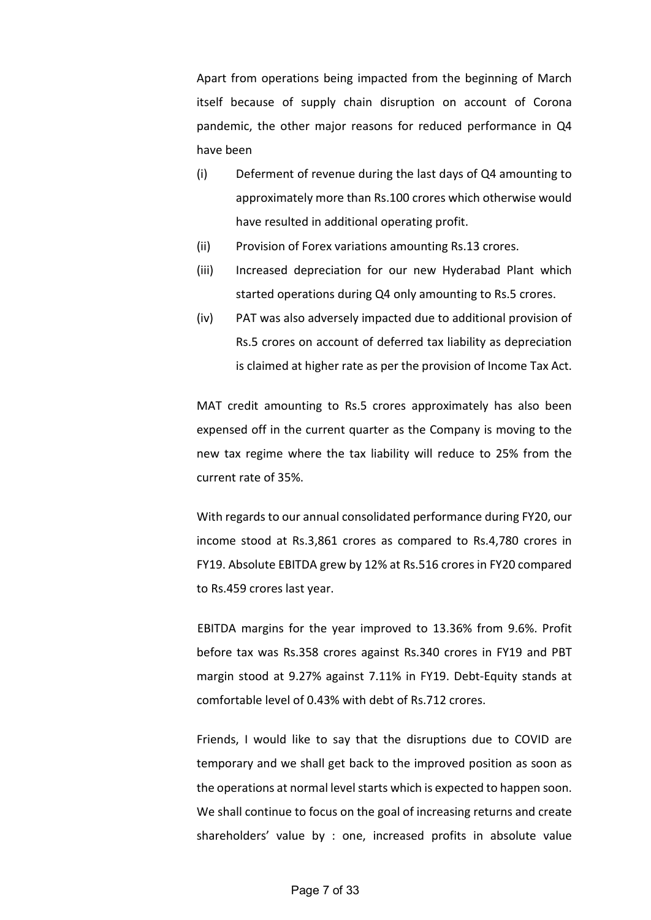Apart from operations being impacted from the beginning of March itself because of supply chain disruption on account of Corona pandemic, the other major reasons for reduced performance in Q4 have been

- (i) Deferment of revenue during the last days of Q4 amounting to approximately more than Rs.100 crores which otherwise would have resulted in additional operating profit.
- (ii) Provision of Forex variations amounting Rs.13 crores.
- (iii) Increased depreciation for our new Hyderabad Plant which started operations during Q4 only amounting to Rs.5 crores.
- (iv) PAT was also adversely impacted due to additional provision of Rs.5 crores on account of deferred tax liability as depreciation is claimed at higher rate as per the provision of Income Tax Act.

 MAT credit amounting to Rs.5 crores approximately has also been expensed off in the current quarter as the Company is moving to the new tax regime where the tax liability will reduce to 25% from the current rate of 35%.

With regards to our annual consolidated performance during FY20, our income stood at Rs.3,861 crores as compared to Rs.4,780 crores in FY19. Absolute EBITDA grew by 12% at Rs.516 crores in FY20 compared to Rs.459 crores last year.

 EBITDA margins for the year improved to 13.36% from 9.6%. Profit before tax was Rs.358 crores against Rs.340 crores in FY19 and PBT margin stood at 9.27% against 7.11% in FY19. Debt-Equity stands at comfortable level of 0.43% with debt of Rs.712 crores.

Friends, I would like to say that the disruptions due to COVID are temporary and we shall get back to the improved position as soon as the operations at normal level starts which is expected to happen soon. We shall continue to focus on the goal of increasing returns and create shareholders' value by : one, increased profits in absolute value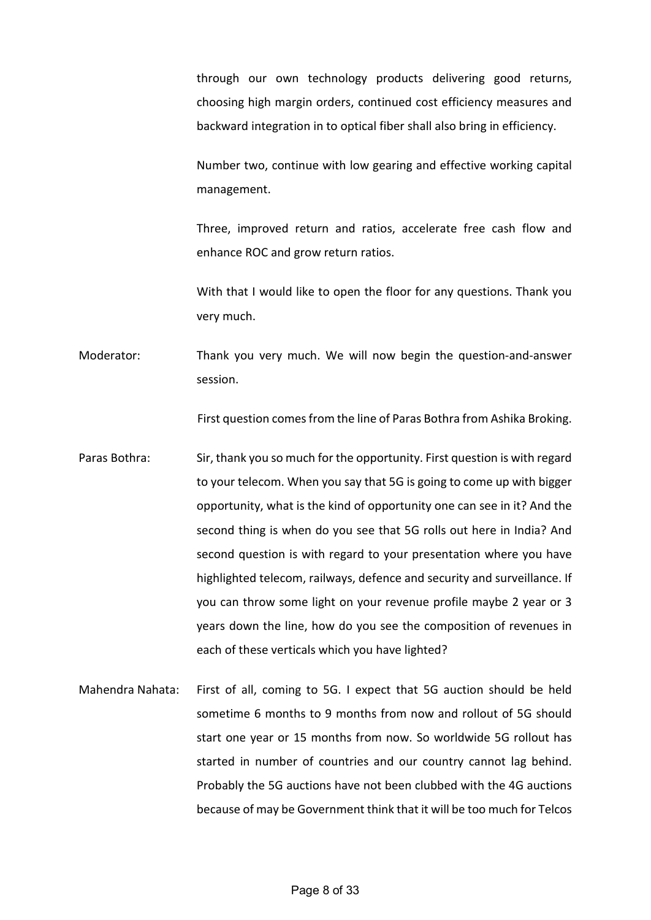through our own technology products delivering good returns, choosing high margin orders, continued cost efficiency measures and backward integration in to optical fiber shall also bring in efficiency.

Number two, continue with low gearing and effective working capital management.

Three, improved return and ratios, accelerate free cash flow and enhance ROC and grow return ratios.

With that I would like to open the floor for any questions. Thank you very much.

Moderator: Thank you very much. We will now begin the question-and-answer session.

First question comes from the line of Paras Bothra from Ashika Broking.

- Paras Bothra: Sir, thank you so much for the opportunity. First question is with regard to your telecom. When you say that 5G is going to come up with bigger opportunity, what is the kind of opportunity one can see in it? And the second thing is when do you see that 5G rolls out here in India? And second question is with regard to your presentation where you have highlighted telecom, railways, defence and security and surveillance. If you can throw some light on your revenue profile maybe 2 year or 3 years down the line, how do you see the composition of revenues in each of these verticals which you have lighted?
- Mahendra Nahata: First of all, coming to 5G. I expect that 5G auction should be held sometime 6 months to 9 months from now and rollout of 5G should start one year or 15 months from now. So worldwide 5G rollout has started in number of countries and our country cannot lag behind. Probably the 5G auctions have not been clubbed with the 4G auctions because of may be Government think that it will be too much for Telcos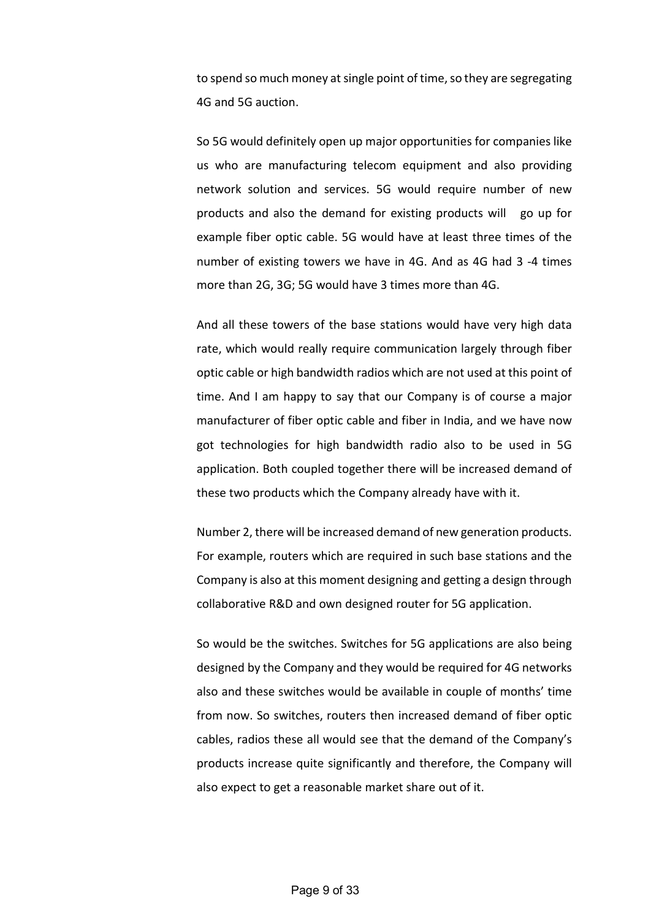to spend so much money at single point of time, so they are segregating 4G and 5G auction.

So 5G would definitely open up major opportunities for companies like us who are manufacturing telecom equipment and also providing network solution and services. 5G would require number of new products and also the demand for existing products will go up for example fiber optic cable. 5G would have at least three times of the number of existing towers we have in 4G. And as 4G had 3 -4 times more than 2G, 3G; 5G would have 3 times more than 4G.

And all these towers of the base stations would have very high data rate, which would really require communication largely through fiber optic cable or high bandwidth radios which are not used at this point of time. And I am happy to say that our Company is of course a major manufacturer of fiber optic cable and fiber in India, and we have now got technologies for high bandwidth radio also to be used in 5G application. Both coupled together there will be increased demand of these two products which the Company already have with it.

Number 2, there will be increased demand of new generation products. For example, routers which are required in such base stations and the Company is also at this moment designing and getting a design through collaborative R&D and own designed router for 5G application.

So would be the switches. Switches for 5G applications are also being designed by the Company and they would be required for 4G networks also and these switches would be available in couple of months' time from now. So switches, routers then increased demand of fiber optic cables, radios these all would see that the demand of the Company's products increase quite significantly and therefore, the Company will also expect to get a reasonable market share out of it.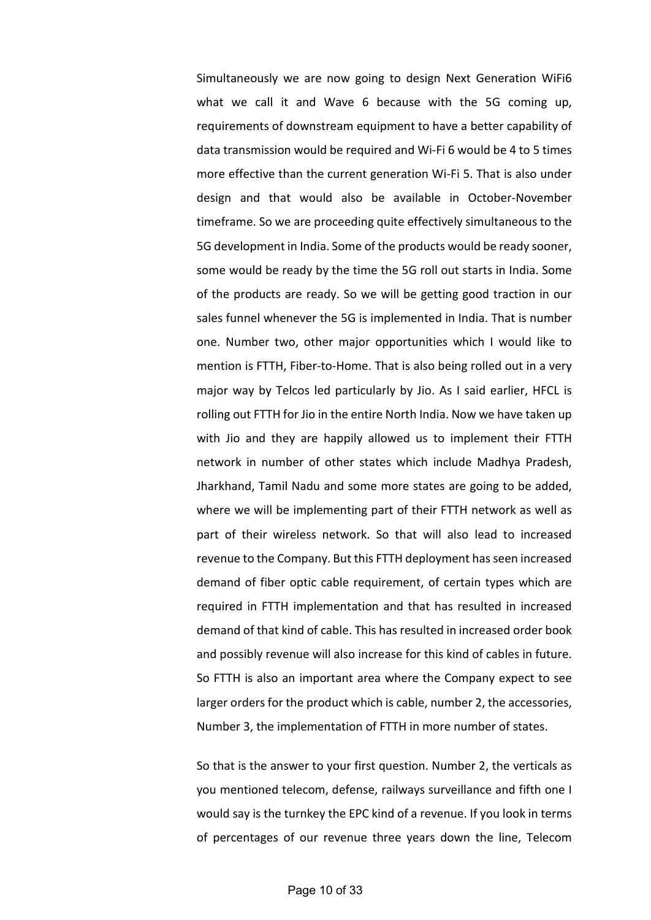Simultaneously we are now going to design Next Generation WiFi6 what we call it and Wave 6 because with the 5G coming up, requirements of downstream equipment to have a better capability of data transmission would be required and Wi-Fi 6 would be 4 to 5 times more effective than the current generation Wi-Fi 5. That is also under design and that would also be available in October-November timeframe. So we are proceeding quite effectively simultaneous to the 5G development in India. Some of the products would be ready sooner, some would be ready by the time the 5G roll out starts in India. Some of the products are ready. So we will be getting good traction in our sales funnel whenever the 5G is implemented in India. That is number one. Number two, other major opportunities which I would like to mention is FTTH, Fiber-to-Home. That is also being rolled out in a very major way by Telcos led particularly by Jio. As I said earlier, HFCL is rolling out FTTH for Jio in the entire North India. Now we have taken up with Jio and they are happily allowed us to implement their FTTH network in number of other states which include Madhya Pradesh, Jharkhand, Tamil Nadu and some more states are going to be added, where we will be implementing part of their FTTH network as well as part of their wireless network. So that will also lead to increased revenue to the Company. But this FTTH deployment has seen increased demand of fiber optic cable requirement, of certain types which are required in FTTH implementation and that has resulted in increased demand of that kind of cable. This has resulted in increased order book and possibly revenue will also increase for this kind of cables in future. So FTTH is also an important area where the Company expect to see larger orders for the product which is cable, number 2, the accessories, Number 3, the implementation of FTTH in more number of states.

So that is the answer to your first question. Number 2, the verticals as you mentioned telecom, defense, railways surveillance and fifth one I would say is the turnkey the EPC kind of a revenue. If you look in terms of percentages of our revenue three years down the line, Telecom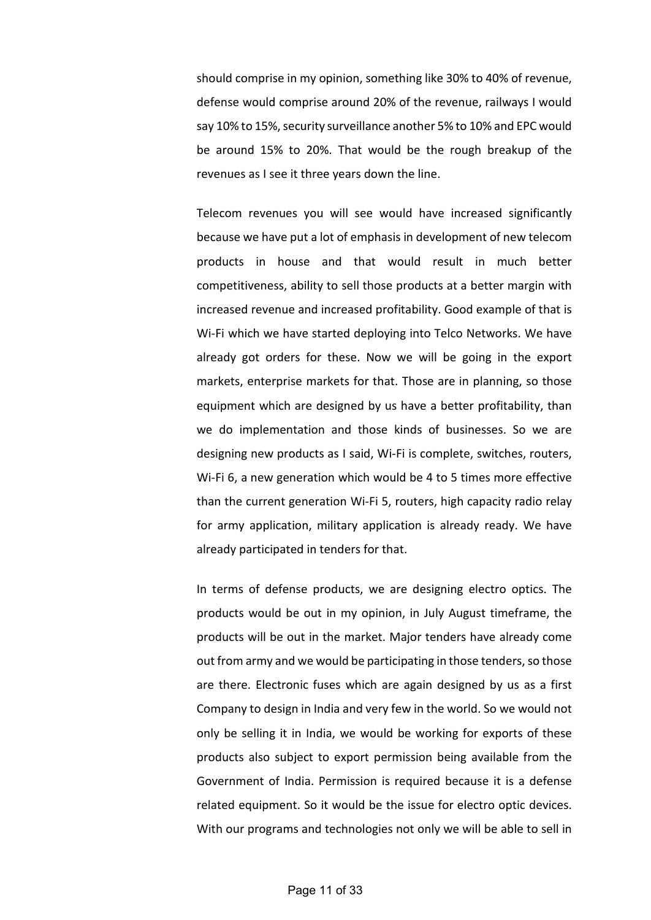should comprise in my opinion, something like 30% to 40% of revenue, defense would comprise around 20% of the revenue, railways I would say 10% to 15%, security surveillance another 5% to 10% and EPC would be around 15% to 20%. That would be the rough breakup of the revenues as I see it three years down the line.

Telecom revenues you will see would have increased significantly because we have put a lot of emphasis in development of new telecom products in house and that would result in much better competitiveness, ability to sell those products at a better margin with increased revenue and increased profitability. Good example of that is Wi-Fi which we have started deploying into Telco Networks. We have already got orders for these. Now we will be going in the export markets, enterprise markets for that. Those are in planning, so those equipment which are designed by us have a better profitability, than we do implementation and those kinds of businesses. So we are designing new products as I said, Wi-Fi is complete, switches, routers, Wi-Fi 6, a new generation which would be 4 to 5 times more effective than the current generation Wi-Fi 5, routers, high capacity radio relay for army application, military application is already ready. We have already participated in tenders for that.

In terms of defense products, we are designing electro optics. The products would be out in my opinion, in July August timeframe, the products will be out in the market. Major tenders have already come out from army and we would be participating in those tenders, so those are there. Electronic fuses which are again designed by us as a first Company to design in India and very few in the world. So we would not only be selling it in India, we would be working for exports of these products also subject to export permission being available from the Government of India. Permission is required because it is a defense related equipment. So it would be the issue for electro optic devices. With our programs and technologies not only we will be able to sell in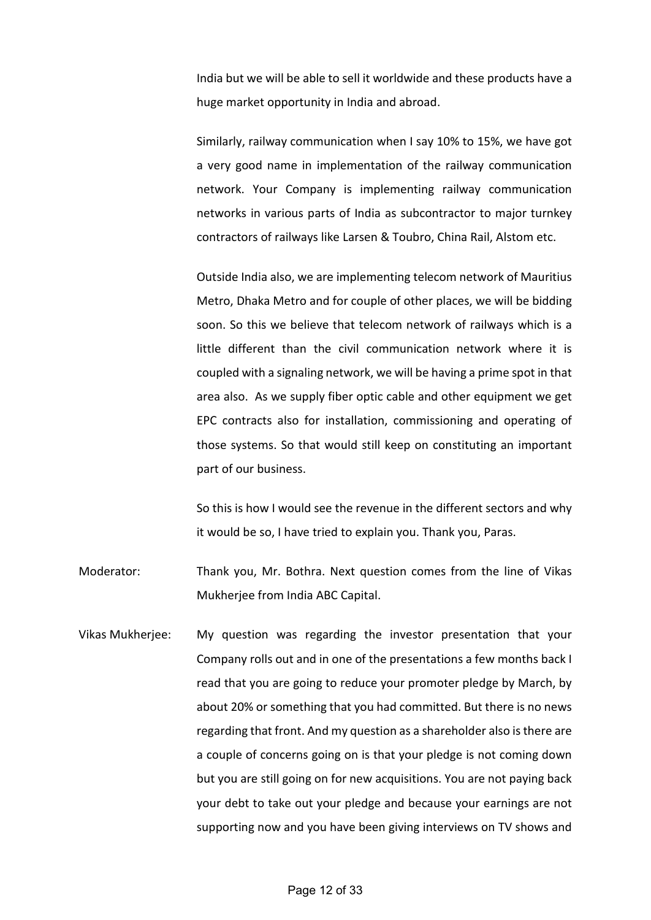India but we will be able to sell it worldwide and these products have a huge market opportunity in India and abroad.

Similarly, railway communication when I say 10% to 15%, we have got a very good name in implementation of the railway communication network. Your Company is implementing railway communication networks in various parts of India as subcontractor to major turnkey contractors of railways like Larsen & Toubro, China Rail, Alstom etc.

Outside India also, we are implementing telecom network of Mauritius Metro, Dhaka Metro and for couple of other places, we will be bidding soon. So this we believe that telecom network of railways which is a little different than the civil communication network where it is coupled with a signaling network, we will be having a prime spot in that area also. As we supply fiber optic cable and other equipment we get EPC contracts also for installation, commissioning and operating of those systems. So that would still keep on constituting an important part of our business.

So this is how I would see the revenue in the different sectors and why it would be so, I have tried to explain you. Thank you, Paras.

Moderator: Thank you, Mr. Bothra. Next question comes from the line of Vikas Mukherjee from India ABC Capital.

Vikas Mukherjee: My question was regarding the investor presentation that your Company rolls out and in one of the presentations a few months back I read that you are going to reduce your promoter pledge by March, by about 20% or something that you had committed. But there is no news regarding that front. And my question as a shareholder also is there are a couple of concerns going on is that your pledge is not coming down but you are still going on for new acquisitions. You are not paying back your debt to take out your pledge and because your earnings are not supporting now and you have been giving interviews on TV shows and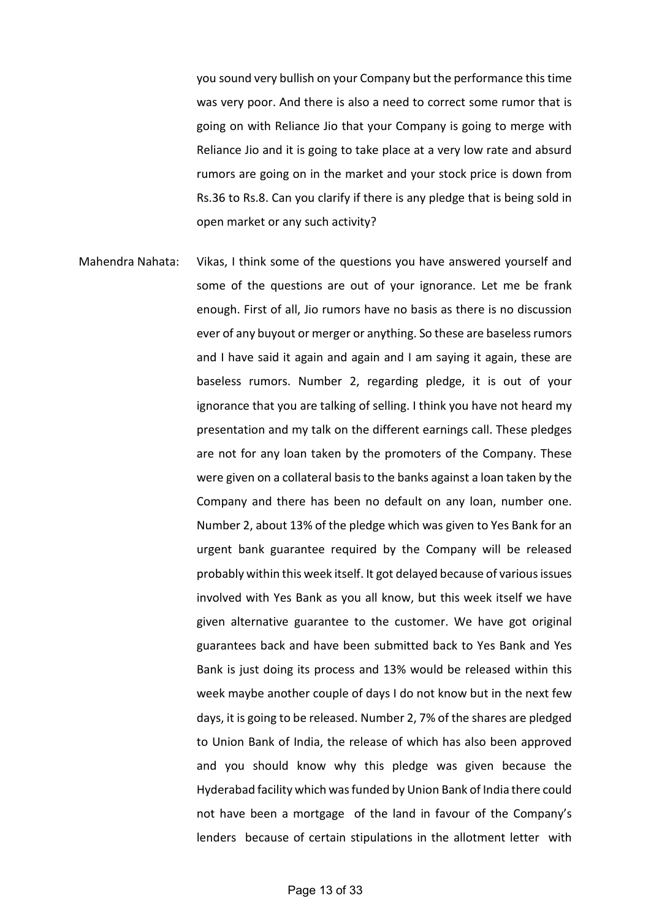you sound very bullish on your Company but the performance this time was very poor. And there is also a need to correct some rumor that is going on with Reliance Jio that your Company is going to merge with Reliance Jio and it is going to take place at a very low rate and absurd rumors are going on in the market and your stock price is down from Rs.36 to Rs.8. Can you clarify if there is any pledge that is being sold in open market or any such activity?

Mahendra Nahata: Vikas, I think some of the questions you have answered yourself and some of the questions are out of your ignorance. Let me be frank enough. First of all, Jio rumors have no basis as there is no discussion ever of any buyout or merger or anything. So these are baseless rumors and I have said it again and again and I am saying it again, these are baseless rumors. Number 2, regarding pledge, it is out of your ignorance that you are talking of selling. I think you have not heard my presentation and my talk on the different earnings call. These pledges are not for any loan taken by the promoters of the Company. These were given on a collateral basis to the banks against a loan taken by the Company and there has been no default on any loan, number one. Number 2, about 13% of the pledge which was given to Yes Bank for an urgent bank guarantee required by the Company will be released probably within this week itself. It got delayed because of various issues involved with Yes Bank as you all know, but this week itself we have given alternative guarantee to the customer. We have got original guarantees back and have been submitted back to Yes Bank and Yes Bank is just doing its process and 13% would be released within this week maybe another couple of days I do not know but in the next few days, it is going to be released. Number 2, 7% of the shares are pledged to Union Bank of India, the release of which has also been approved and you should know why this pledge was given because the Hyderabad facility which was funded by Union Bank of India there could not have been a mortgage of the land in favour of the Company's lenders because of certain stipulations in the allotment letter with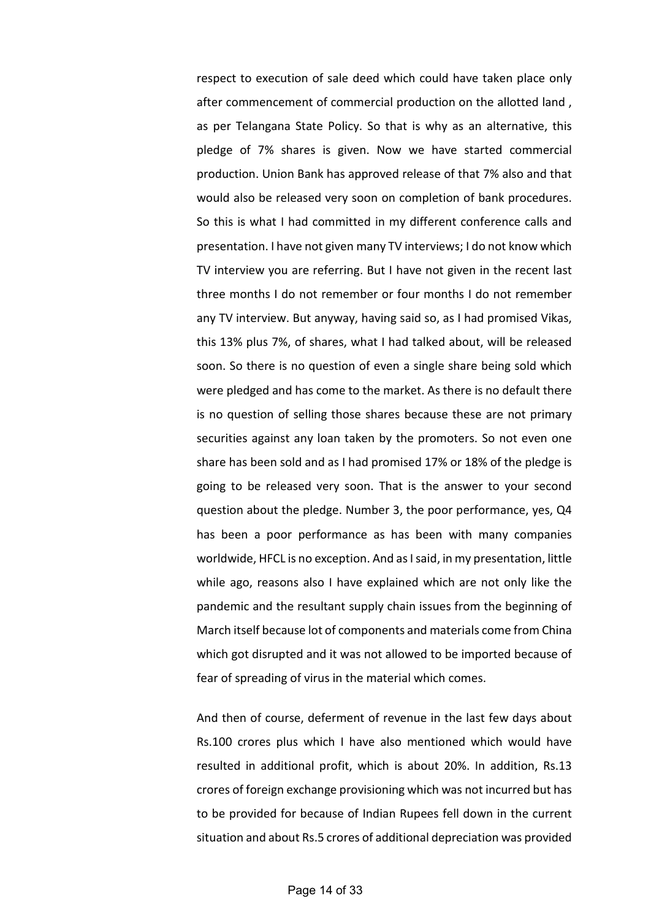respect to execution of sale deed which could have taken place only after commencement of commercial production on the allotted land , as per Telangana State Policy. So that is why as an alternative, this pledge of 7% shares is given. Now we have started commercial production. Union Bank has approved release of that 7% also and that would also be released very soon on completion of bank procedures. So this is what I had committed in my different conference calls and presentation. I have not given many TV interviews; I do not know which TV interview you are referring. But I have not given in the recent last three months I do not remember or four months I do not remember any TV interview. But anyway, having said so, as I had promised Vikas, this 13% plus 7%, of shares, what I had talked about, will be released soon. So there is no question of even a single share being sold which were pledged and has come to the market. As there is no default there is no question of selling those shares because these are not primary securities against any loan taken by the promoters. So not even one share has been sold and as I had promised 17% or 18% of the pledge is going to be released very soon. That is the answer to your second question about the pledge. Number 3, the poor performance, yes, Q4 has been a poor performance as has been with many companies worldwide, HFCL is no exception. And as I said, in my presentation, little while ago, reasons also I have explained which are not only like the pandemic and the resultant supply chain issues from the beginning of March itself because lot of components and materials come from China which got disrupted and it was not allowed to be imported because of fear of spreading of virus in the material which comes.

And then of course, deferment of revenue in the last few days about Rs.100 crores plus which I have also mentioned which would have resulted in additional profit, which is about 20%. In addition, Rs.13 crores of foreign exchange provisioning which was not incurred but has to be provided for because of Indian Rupees fell down in the current situation and about Rs.5 crores of additional depreciation was provided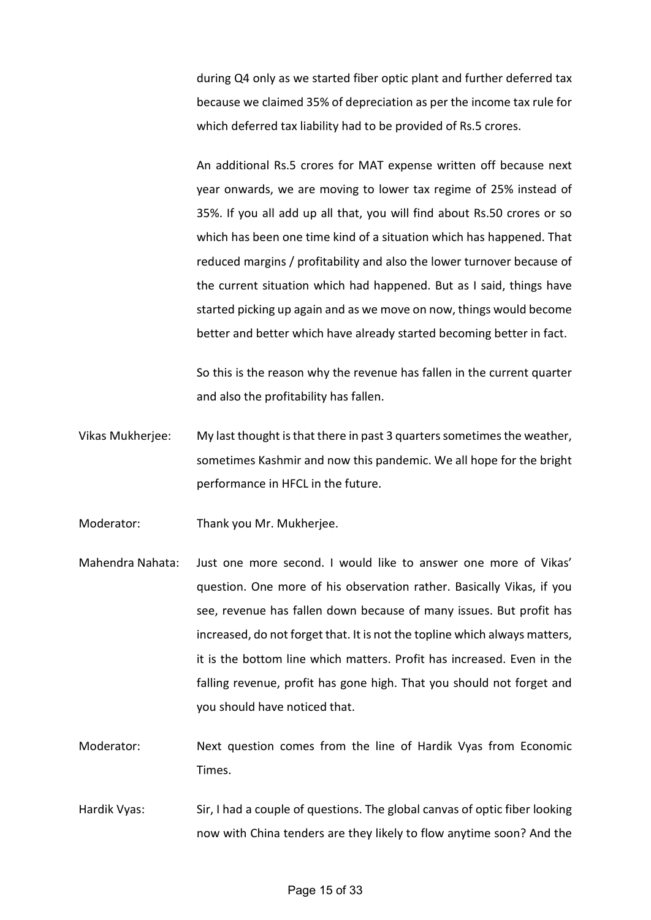during Q4 only as we started fiber optic plant and further deferred tax because we claimed 35% of depreciation as per the income tax rule for which deferred tax liability had to be provided of Rs.5 crores.

An additional Rs.5 crores for MAT expense written off because next year onwards, we are moving to lower tax regime of 25% instead of 35%. If you all add up all that, you will find about Rs.50 crores or so which has been one time kind of a situation which has happened. That reduced margins / profitability and also the lower turnover because of the current situation which had happened. But as I said, things have started picking up again and as we move on now, things would become better and better which have already started becoming better in fact.

So this is the reason why the revenue has fallen in the current quarter and also the profitability has fallen.

- Vikas Mukherjee: My last thought is that there in past 3 quarters sometimes the weather, sometimes Kashmir and now this pandemic. We all hope for the bright performance in HFCL in the future.
- Moderator: Thank you Mr. Mukherjee.
- Mahendra Nahata: Just one more second. I would like to answer one more of Vikas' question. One more of his observation rather. Basically Vikas, if you see, revenue has fallen down because of many issues. But profit has increased, do not forget that. It is not the topline which always matters, it is the bottom line which matters. Profit has increased. Even in the falling revenue, profit has gone high. That you should not forget and you should have noticed that.
- Moderator: Next question comes from the line of Hardik Vyas from Economic Times.
- Hardik Vyas: Sir, I had a couple of questions. The global canvas of optic fiber looking now with China tenders are they likely to flow anytime soon? And the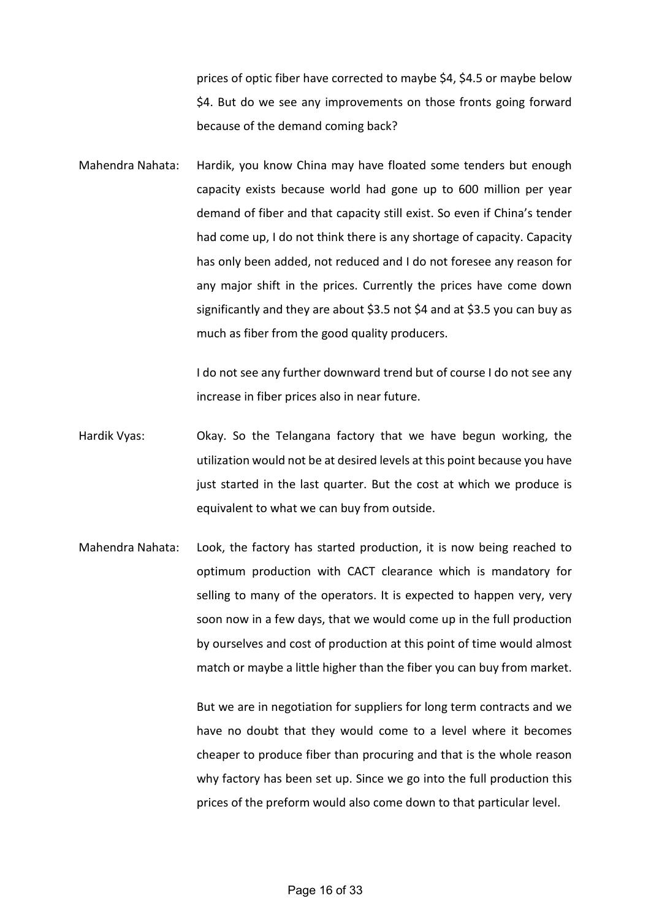prices of optic fiber have corrected to maybe \$4, \$4.5 or maybe below \$4. But do we see any improvements on those fronts going forward because of the demand coming back?

Mahendra Nahata: Hardik, you know China may have floated some tenders but enough capacity exists because world had gone up to 600 million per year demand of fiber and that capacity still exist. So even if China's tender had come up, I do not think there is any shortage of capacity. Capacity has only been added, not reduced and I do not foresee any reason for any major shift in the prices. Currently the prices have come down significantly and they are about \$3.5 not \$4 and at \$3.5 you can buy as much as fiber from the good quality producers.

> I do not see any further downward trend but of course I do not see any increase in fiber prices also in near future.

- Hardik Vyas: Okay. So the Telangana factory that we have begun working, the utilization would not be at desired levels at this point because you have just started in the last quarter. But the cost at which we produce is equivalent to what we can buy from outside.
- Mahendra Nahata: Look, the factory has started production, it is now being reached to optimum production with CACT clearance which is mandatory for selling to many of the operators. It is expected to happen very, very soon now in a few days, that we would come up in the full production by ourselves and cost of production at this point of time would almost match or maybe a little higher than the fiber you can buy from market.

But we are in negotiation for suppliers for long term contracts and we have no doubt that they would come to a level where it becomes cheaper to produce fiber than procuring and that is the whole reason why factory has been set up. Since we go into the full production this prices of the preform would also come down to that particular level.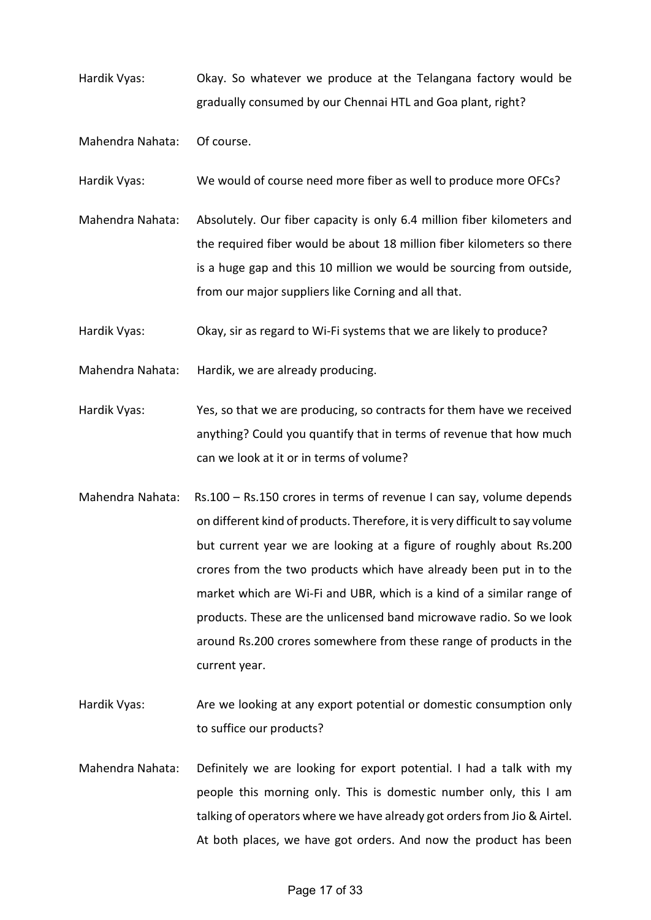Hardik Vyas: Okay. So whatever we produce at the Telangana factory would be gradually consumed by our Chennai HTL and Goa plant, right?

Mahendra Nahata: Of course.

Hardik Vyas: We would of course need more fiber as well to produce more OFCs?

Mahendra Nahata: Absolutely. Our fiber capacity is only 6.4 million fiber kilometers and the required fiber would be about 18 million fiber kilometers so there is a huge gap and this 10 million we would be sourcing from outside, from our major suppliers like Corning and all that.

Hardik Vyas: Okay, sir as regard to Wi-Fi systems that we are likely to produce?

Mahendra Nahata: Hardik, we are already producing.

- Hardik Vyas: Yes, so that we are producing, so contracts for them have we received anything? Could you quantify that in terms of revenue that how much can we look at it or in terms of volume?
- Mahendra Nahata: Rs.100 Rs.150 crores in terms of revenue I can say, volume depends on different kind of products. Therefore, it is very difficult to say volume but current year we are looking at a figure of roughly about Rs.200 crores from the two products which have already been put in to the market which are Wi-Fi and UBR, which is a kind of a similar range of products. These are the unlicensed band microwave radio. So we look around Rs.200 crores somewhere from these range of products in the current year.
- Hardik Vyas: Are we looking at any export potential or domestic consumption only to suffice our products?
- Mahendra Nahata: Definitely we are looking for export potential. I had a talk with my people this morning only. This is domestic number only, this I am talking of operators where we have already got orders from Jio & Airtel. At both places, we have got orders. And now the product has been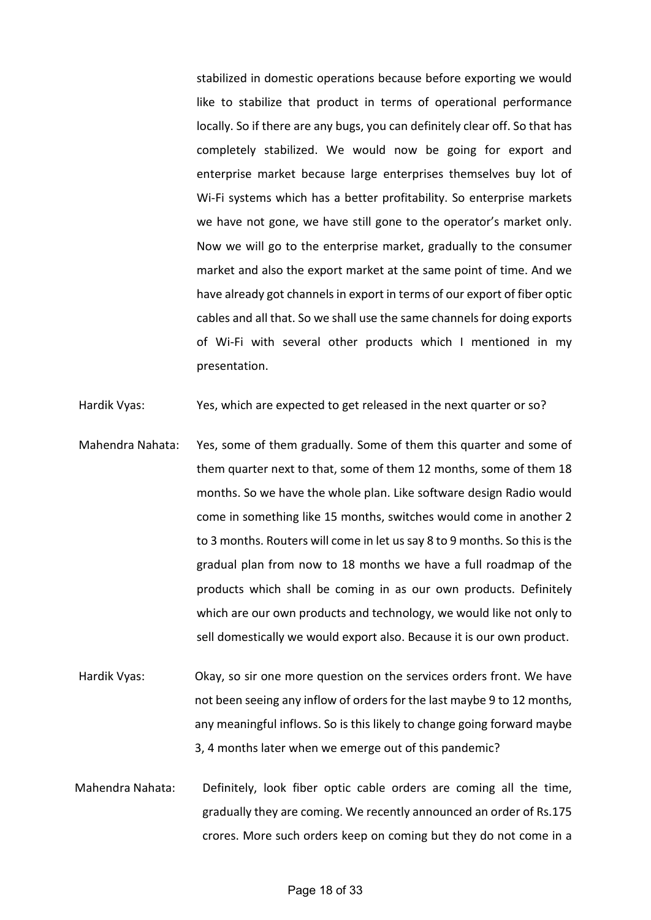stabilized in domestic operations because before exporting we would like to stabilize that product in terms of operational performance locally. So if there are any bugs, you can definitely clear off. So that has completely stabilized. We would now be going for export and enterprise market because large enterprises themselves buy lot of Wi-Fi systems which has a better profitability. So enterprise markets we have not gone, we have still gone to the operator's market only. Now we will go to the enterprise market, gradually to the consumer market and also the export market at the same point of time. And we have already got channels in export in terms of our export of fiber optic cables and all that. So we shall use the same channels for doing exports of Wi-Fi with several other products which I mentioned in my presentation.

Hardik Vyas: Yes, which are expected to get released in the next quarter or so?

- Mahendra Nahata: Yes, some of them gradually. Some of them this quarter and some of them quarter next to that, some of them 12 months, some of them 18 months. So we have the whole plan. Like software design Radio would come in something like 15 months, switches would come in another 2 to 3 months. Routers will come in let us say 8 to 9 months. So this is the gradual plan from now to 18 months we have a full roadmap of the products which shall be coming in as our own products. Definitely which are our own products and technology, we would like not only to sell domestically we would export also. Because it is our own product.
- Hardik Vyas: Okay, so sir one more question on the services orders front. We have not been seeing any inflow of orders for the last maybe 9 to 12 months, any meaningful inflows. So is this likely to change going forward maybe 3, 4 months later when we emerge out of this pandemic?
- Mahendra Nahata: Definitely, look fiber optic cable orders are coming all the time, gradually they are coming. We recently announced an order of Rs.175 crores. More such orders keep on coming but they do not come in a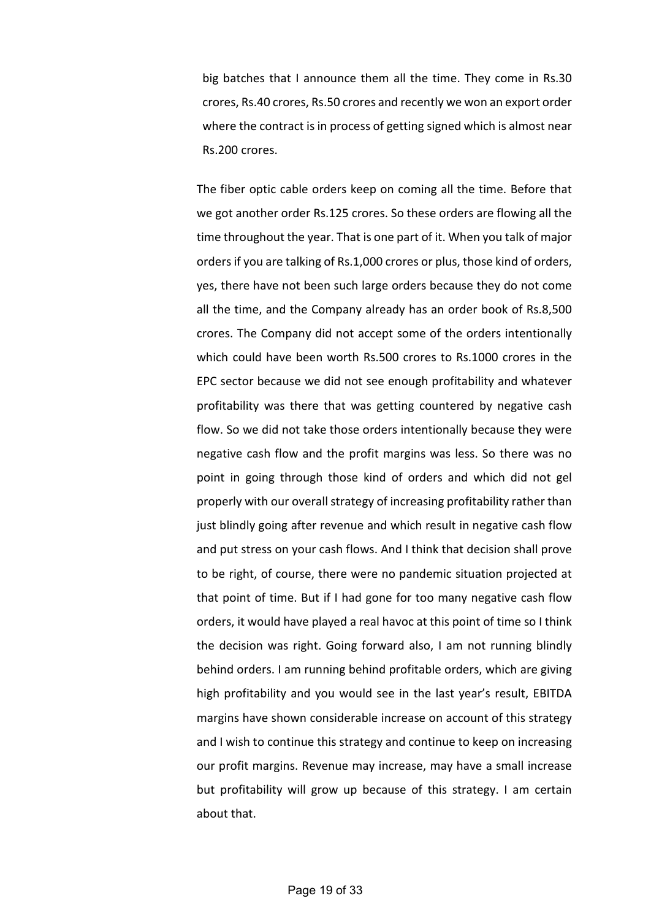big batches that I announce them all the time. They come in Rs.30 crores, Rs.40 crores, Rs.50 crores and recently we won an export order where the contract is in process of getting signed which is almost near Rs.200 crores.

The fiber optic cable orders keep on coming all the time. Before that we got another order Rs.125 crores. So these orders are flowing all the time throughout the year. That is one part of it. When you talk of major orders if you are talking of Rs.1,000 crores or plus, those kind of orders, yes, there have not been such large orders because they do not come all the time, and the Company already has an order book of Rs.8,500 crores. The Company did not accept some of the orders intentionally which could have been worth Rs.500 crores to Rs.1000 crores in the EPC sector because we did not see enough profitability and whatever profitability was there that was getting countered by negative cash flow. So we did not take those orders intentionally because they were negative cash flow and the profit margins was less. So there was no point in going through those kind of orders and which did not gel properly with our overall strategy of increasing profitability rather than just blindly going after revenue and which result in negative cash flow and put stress on your cash flows. And I think that decision shall prove to be right, of course, there were no pandemic situation projected at that point of time. But if I had gone for too many negative cash flow orders, it would have played a real havoc at this point of time so I think the decision was right. Going forward also, I am not running blindly behind orders. I am running behind profitable orders, which are giving high profitability and you would see in the last year's result, EBITDA margins have shown considerable increase on account of this strategy and I wish to continue this strategy and continue to keep on increasing our profit margins. Revenue may increase, may have a small increase but profitability will grow up because of this strategy. I am certain about that.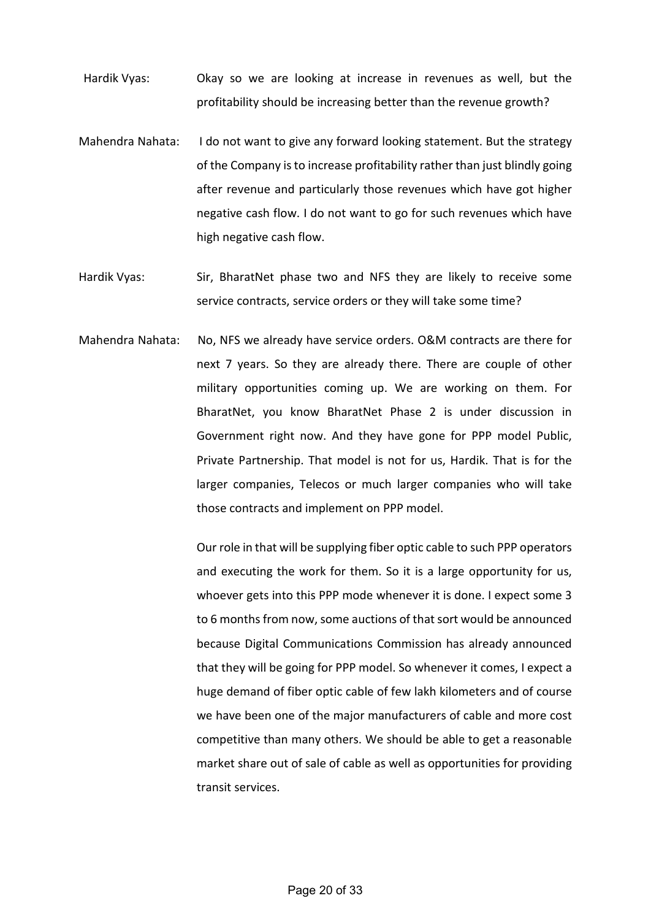Hardik Vyas: Okay so we are looking at increase in revenues as well, but the profitability should be increasing better than the revenue growth?

- Mahendra Nahata: I do not want to give any forward looking statement. But the strategy of the Company is to increase profitability rather than just blindly going after revenue and particularly those revenues which have got higher negative cash flow. I do not want to go for such revenues which have high negative cash flow.
- Hardik Vyas: Sir, BharatNet phase two and NFS they are likely to receive some service contracts, service orders or they will take some time?
- Mahendra Nahata: No, NFS we already have service orders. O&M contracts are there for next 7 years. So they are already there. There are couple of other military opportunities coming up. We are working on them. For BharatNet, you know BharatNet Phase 2 is under discussion in Government right now. And they have gone for PPP model Public, Private Partnership. That model is not for us, Hardik. That is for the larger companies, Telecos or much larger companies who will take those contracts and implement on PPP model.

Our role in that will be supplying fiber optic cable to such PPP operators and executing the work for them. So it is a large opportunity for us, whoever gets into this PPP mode whenever it is done. I expect some 3 to 6 months from now, some auctions of that sort would be announced because Digital Communications Commission has already announced that they will be going for PPP model. So whenever it comes, I expect a huge demand of fiber optic cable of few lakh kilometers and of course we have been one of the major manufacturers of cable and more cost competitive than many others. We should be able to get a reasonable market share out of sale of cable as well as opportunities for providing transit services.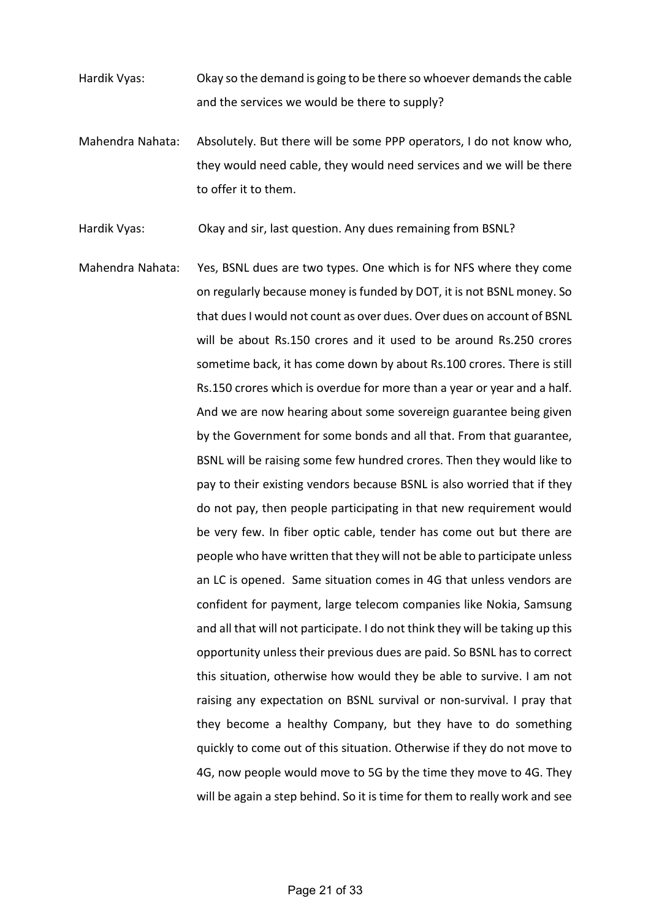Hardik Vyas: Okay so the demand is going to be there so whoever demands the cable and the services we would be there to supply?

Mahendra Nahata: Absolutely. But there will be some PPP operators, I do not know who, they would need cable, they would need services and we will be there to offer it to them.

Hardik Vyas: Okay and sir, last question. Any dues remaining from BSNL?

Mahendra Nahata: Yes, BSNL dues are two types. One which is for NFS where they come on regularly because money is funded by DOT, it is not BSNL money. So that dues I would not count as over dues. Over dues on account of BSNL will be about Rs.150 crores and it used to be around Rs.250 crores sometime back, it has come down by about Rs.100 crores. There is still Rs.150 crores which is overdue for more than a year or year and a half. And we are now hearing about some sovereign guarantee being given by the Government for some bonds and all that. From that guarantee, BSNL will be raising some few hundred crores. Then they would like to pay to their existing vendors because BSNL is also worried that if they do not pay, then people participating in that new requirement would be very few. In fiber optic cable, tender has come out but there are people who have written that they will not be able to participate unless an LC is opened. Same situation comes in 4G that unless vendors are confident for payment, large telecom companies like Nokia, Samsung and all that will not participate. I do not think they will be taking up this opportunity unless their previous dues are paid. So BSNL has to correct this situation, otherwise how would they be able to survive. I am not raising any expectation on BSNL survival or non-survival. I pray that they become a healthy Company, but they have to do something quickly to come out of this situation. Otherwise if they do not move to 4G, now people would move to 5G by the time they move to 4G. They will be again a step behind. So it is time for them to really work and see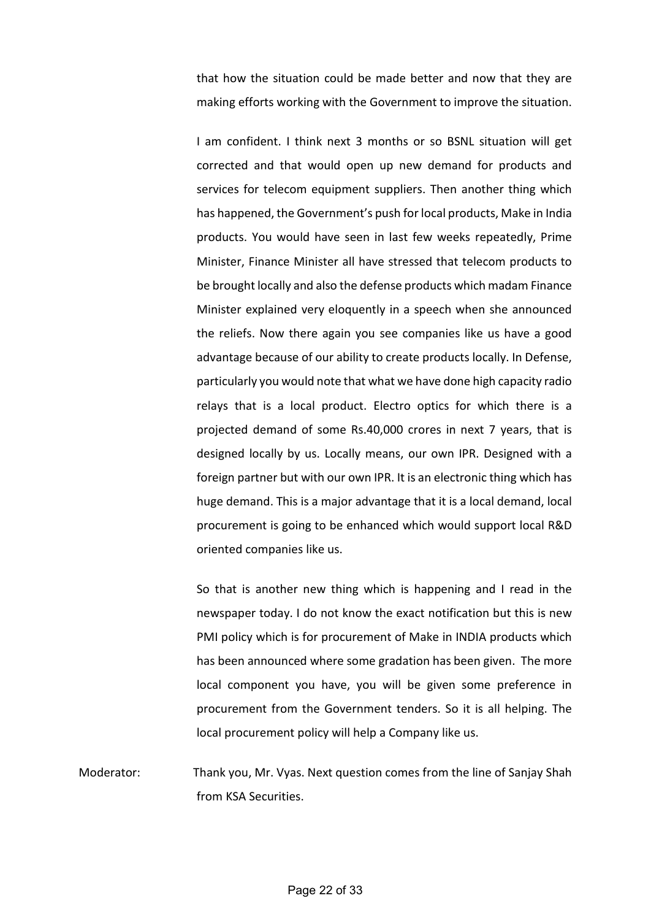that how the situation could be made better and now that they are making efforts working with the Government to improve the situation.

I am confident. I think next 3 months or so BSNL situation will get corrected and that would open up new demand for products and services for telecom equipment suppliers. Then another thing which has happened, the Government's push for local products, Make in India products. You would have seen in last few weeks repeatedly, Prime Minister, Finance Minister all have stressed that telecom products to be brought locally and also the defense products which madam Finance Minister explained very eloquently in a speech when she announced the reliefs. Now there again you see companies like us have a good advantage because of our ability to create products locally. In Defense, particularly you would note that what we have done high capacity radio relays that is a local product. Electro optics for which there is a projected demand of some Rs.40,000 crores in next 7 years, that is designed locally by us. Locally means, our own IPR. Designed with a foreign partner but with our own IPR. It is an electronic thing which has huge demand. This is a major advantage that it is a local demand, local procurement is going to be enhanced which would support local R&D oriented companies like us.

So that is another new thing which is happening and I read in the newspaper today. I do not know the exact notification but this is new PMI policy which is for procurement of Make in INDIA products which has been announced where some gradation has been given. The more local component you have, you will be given some preference in procurement from the Government tenders. So it is all helping. The local procurement policy will help a Company like us.

Moderator: Thank you, Mr. Vyas. Next question comes from the line of Sanjay Shah from KSA Securities.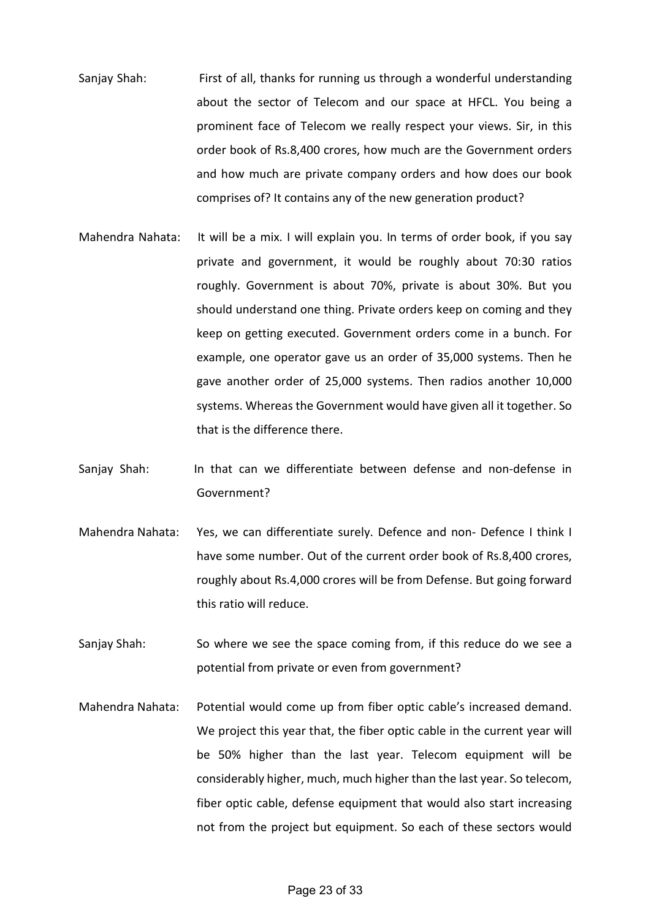- Sanjay Shah: First of all, thanks for running us through a wonderful understanding about the sector of Telecom and our space at HFCL. You being a prominent face of Telecom we really respect your views. Sir, in this order book of Rs.8,400 crores, how much are the Government orders and how much are private company orders and how does our book comprises of? It contains any of the new generation product?
- Mahendra Nahata: It will be a mix. I will explain you. In terms of order book, if you say private and government, it would be roughly about 70:30 ratios roughly. Government is about 70%, private is about 30%. But you should understand one thing. Private orders keep on coming and they keep on getting executed. Government orders come in a bunch. For example, one operator gave us an order of 35,000 systems. Then he gave another order of 25,000 systems. Then radios another 10,000 systems. Whereas the Government would have given all it together. So that is the difference there.
- Sanjay Shah: In that can we differentiate between defense and non-defense in Government?
- Mahendra Nahata: Yes, we can differentiate surely. Defence and non- Defence I think I have some number. Out of the current order book of Rs.8,400 crores, roughly about Rs.4,000 crores will be from Defense. But going forward this ratio will reduce.
- Sanjay Shah: So where we see the space coming from, if this reduce do we see a potential from private or even from government?
- Mahendra Nahata: Potential would come up from fiber optic cable's increased demand. We project this year that, the fiber optic cable in the current year will be 50% higher than the last year. Telecom equipment will be considerably higher, much, much higher than the last year. So telecom, fiber optic cable, defense equipment that would also start increasing not from the project but equipment. So each of these sectors would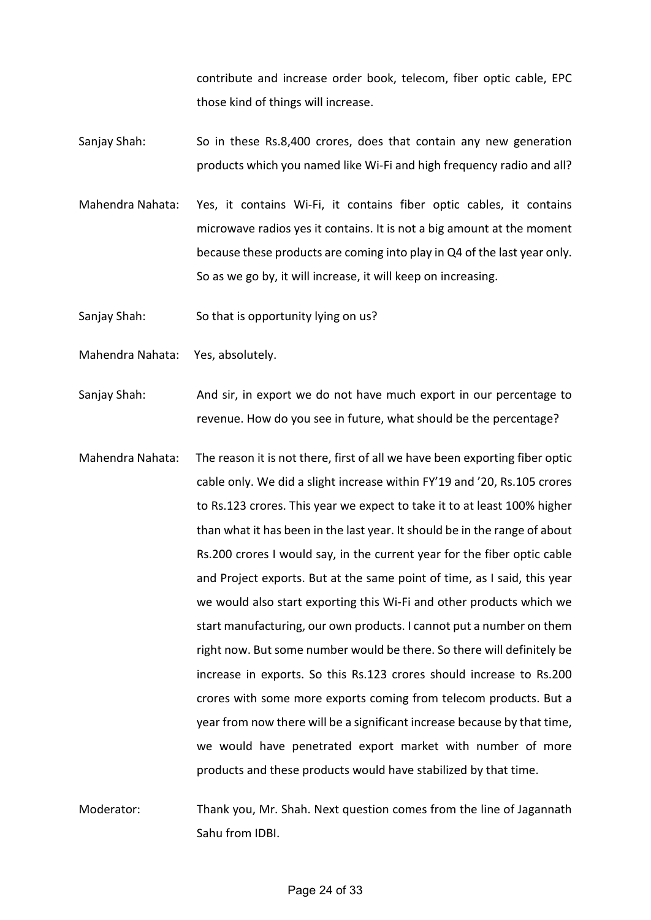contribute and increase order book, telecom, fiber optic cable, EPC those kind of things will increase.

- Sanjay Shah: So in these Rs.8,400 crores, does that contain any new generation products which you named like Wi-Fi and high frequency radio and all?
- Mahendra Nahata: Yes, it contains Wi-Fi, it contains fiber optic cables, it contains microwave radios yes it contains. It is not a big amount at the moment because these products are coming into play in Q4 of the last year only. So as we go by, it will increase, it will keep on increasing.
- Sanjay Shah: So that is opportunity lying on us?
- Mahendra Nahata: Yes, absolutely.
- Sanjay Shah: And sir, in export we do not have much export in our percentage to revenue. How do you see in future, what should be the percentage?
- Mahendra Nahata: The reason it is not there, first of all we have been exporting fiber optic cable only. We did a slight increase within FY'19 and '20, Rs.105 crores to Rs.123 crores. This year we expect to take it to at least 100% higher than what it has been in the last year. It should be in the range of about Rs.200 crores I would say, in the current year for the fiber optic cable and Project exports. But at the same point of time, as I said, this year we would also start exporting this Wi-Fi and other products which we start manufacturing, our own products. I cannot put a number on them right now. But some number would be there. So there will definitely be increase in exports. So this Rs.123 crores should increase to Rs.200 crores with some more exports coming from telecom products. But a year from now there will be a significant increase because by that time, we would have penetrated export market with number of more products and these products would have stabilized by that time.
- Moderator: Thank you, Mr. Shah. Next question comes from the line of Jagannath Sahu from IDBI.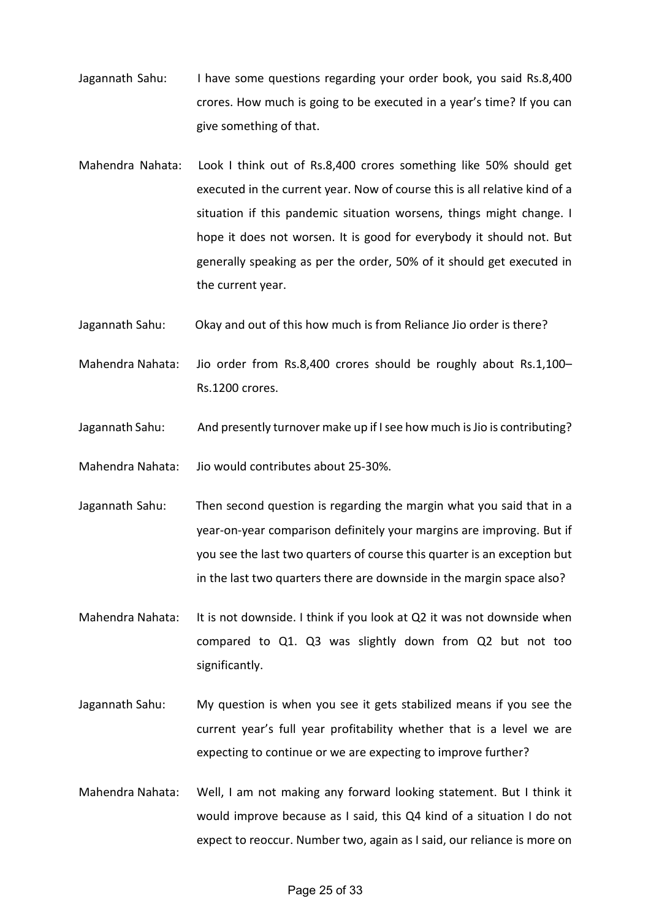- Jagannath Sahu: I have some questions regarding your order book, you said Rs.8,400 crores. How much is going to be executed in a year's time? If you can give something of that.
- Mahendra Nahata: Look I think out of Rs.8,400 crores something like 50% should get executed in the current year. Now of course this is all relative kind of a situation if this pandemic situation worsens, things might change. I hope it does not worsen. It is good for everybody it should not. But generally speaking as per the order, 50% of it should get executed in the current year.
- Jagannath Sahu: Okay and out of this how much is from Reliance Jio order is there?
- Mahendra Nahata: Jio order from Rs.8,400 crores should be roughly about Rs.1,100– Rs.1200 crores.
- Jagannath Sahu: And presently turnover make up if I see how much is Jio is contributing?
- Mahendra Nahata: Jio would contributes about 25-30%.
- Jagannath Sahu: Then second question is regarding the margin what you said that in a year-on-year comparison definitely your margins are improving. But if you see the last two quarters of course this quarter is an exception but in the last two quarters there are downside in the margin space also?
- Mahendra Nahata: It is not downside. I think if you look at Q2 it was not downside when compared to Q1. Q3 was slightly down from Q2 but not too significantly.
- Jagannath Sahu: My question is when you see it gets stabilized means if you see the current year's full year profitability whether that is a level we are expecting to continue or we are expecting to improve further?
- Mahendra Nahata: Well, I am not making any forward looking statement. But I think it would improve because as I said, this Q4 kind of a situation I do not expect to reoccur. Number two, again as I said, our reliance is more on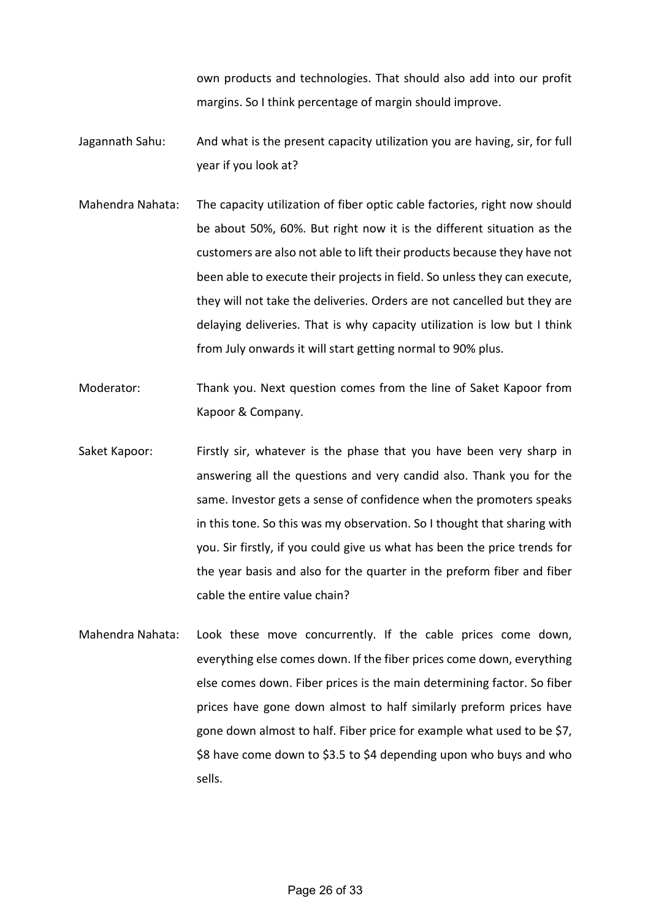own products and technologies. That should also add into our profit margins. So I think percentage of margin should improve.

Jagannath Sahu: And what is the present capacity utilization you are having, sir, for full year if you look at?

- Mahendra Nahata: The capacity utilization of fiber optic cable factories, right now should be about 50%, 60%. But right now it is the different situation as the customers are also not able to lift their products because they have not been able to execute their projects in field. So unless they can execute, they will not take the deliveries. Orders are not cancelled but they are delaying deliveries. That is why capacity utilization is low but I think from July onwards it will start getting normal to 90% plus.
- Moderator: Thank you. Next question comes from the line of Saket Kapoor from Kapoor & Company.
- Saket Kapoor: Firstly sir, whatever is the phase that you have been very sharp in answering all the questions and very candid also. Thank you for the same. Investor gets a sense of confidence when the promoters speaks in this tone. So this was my observation. So I thought that sharing with you. Sir firstly, if you could give us what has been the price trends for the year basis and also for the quarter in the preform fiber and fiber cable the entire value chain?
- Mahendra Nahata: Look these move concurrently. If the cable prices come down, everything else comes down. If the fiber prices come down, everything else comes down. Fiber prices is the main determining factor. So fiber prices have gone down almost to half similarly preform prices have gone down almost to half. Fiber price for example what used to be \$7, \$8 have come down to \$3.5 to \$4 depending upon who buys and who sells.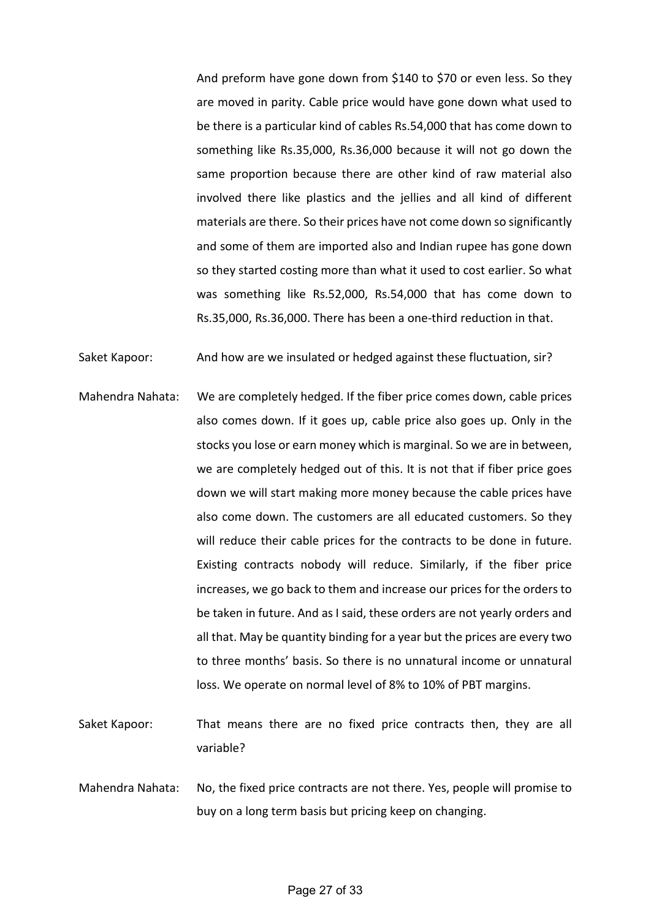And preform have gone down from \$140 to \$70 or even less. So they are moved in parity. Cable price would have gone down what used to be there is a particular kind of cables Rs.54,000 that has come down to something like Rs.35,000, Rs.36,000 because it will not go down the same proportion because there are other kind of raw material also involved there like plastics and the jellies and all kind of different materials are there. So their prices have not come down so significantly and some of them are imported also and Indian rupee has gone down so they started costing more than what it used to cost earlier. So what was something like Rs.52,000, Rs.54,000 that has come down to Rs.35,000, Rs.36,000. There has been a one-third reduction in that.

Saket Kapoor: And how are we insulated or hedged against these fluctuation, sir?

- Mahendra Nahata: We are completely hedged. If the fiber price comes down, cable prices also comes down. If it goes up, cable price also goes up. Only in the stocks you lose or earn money which is marginal. So we are in between, we are completely hedged out of this. It is not that if fiber price goes down we will start making more money because the cable prices have also come down. The customers are all educated customers. So they will reduce their cable prices for the contracts to be done in future. Existing contracts nobody will reduce. Similarly, if the fiber price increases, we go back to them and increase our prices for the orders to be taken in future. And as I said, these orders are not yearly orders and all that. May be quantity binding for a year but the prices are every two to three months' basis. So there is no unnatural income or unnatural loss. We operate on normal level of 8% to 10% of PBT margins.
- Saket Kapoor: That means there are no fixed price contracts then, they are all variable?
- Mahendra Nahata: No, the fixed price contracts are not there. Yes, people will promise to buy on a long term basis but pricing keep on changing.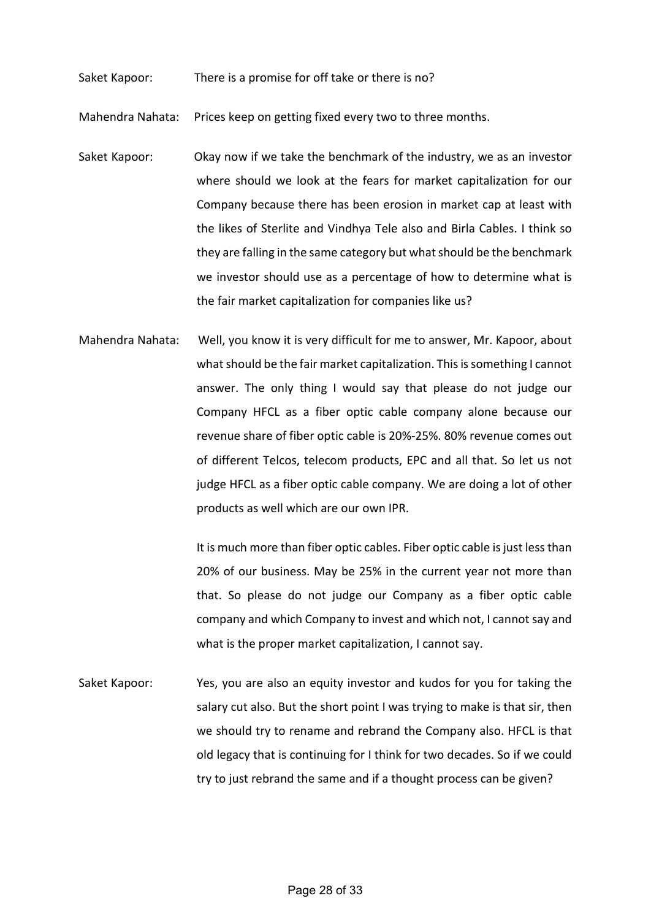Saket Kapoor: There is a promise for off take or there is no?

Mahendra Nahata: Prices keep on getting fixed every two to three months.

- Saket Kapoor: Okay now if we take the benchmark of the industry, we as an investor where should we look at the fears for market capitalization for our Company because there has been erosion in market cap at least with the likes of Sterlite and Vindhya Tele also and Birla Cables. I think so they are falling in the same category but what should be the benchmark we investor should use as a percentage of how to determine what is the fair market capitalization for companies like us?
- Mahendra Nahata: Well, you know it is very difficult for me to answer, Mr. Kapoor, about what should be the fair market capitalization. This is something I cannot answer. The only thing I would say that please do not judge our Company HFCL as a fiber optic cable company alone because our revenue share of fiber optic cable is 20%-25%. 80% revenue comes out of different Telcos, telecom products, EPC and all that. So let us not judge HFCL as a fiber optic cable company. We are doing a lot of other products as well which are our own IPR.

It is much more than fiber optic cables. Fiber optic cable is just less than 20% of our business. May be 25% in the current year not more than that. So please do not judge our Company as a fiber optic cable company and which Company to invest and which not, I cannot say and what is the proper market capitalization, I cannot say.

Saket Kapoor: Yes, you are also an equity investor and kudos for you for taking the salary cut also. But the short point I was trying to make is that sir, then we should try to rename and rebrand the Company also. HFCL is that old legacy that is continuing for I think for two decades. So if we could try to just rebrand the same and if a thought process can be given?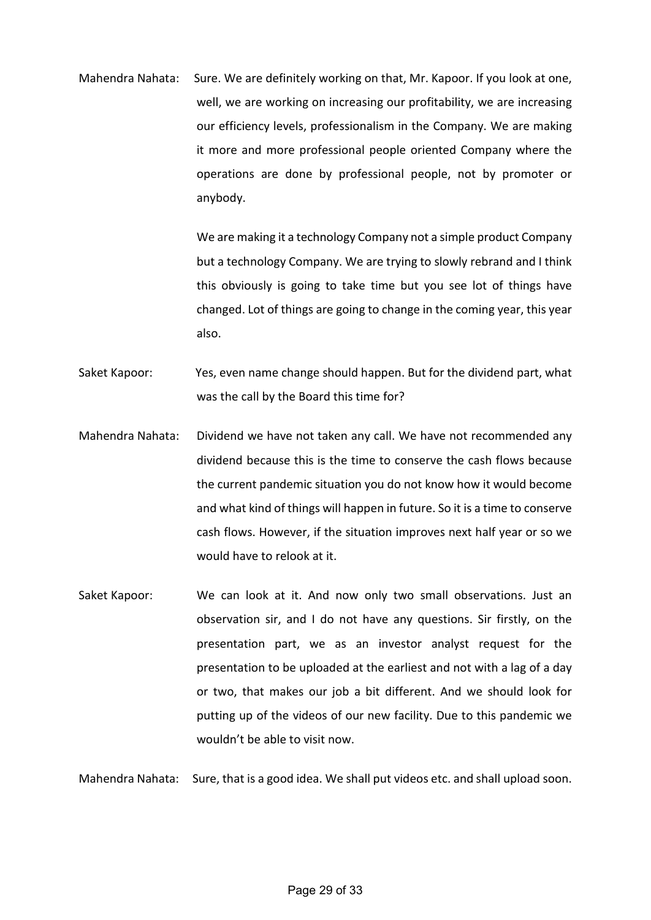Mahendra Nahata: Sure. We are definitely working on that, Mr. Kapoor. If you look at one, well, we are working on increasing our profitability, we are increasing our efficiency levels, professionalism in the Company. We are making it more and more professional people oriented Company where the operations are done by professional people, not by promoter or anybody.

> We are making it a technology Company not a simple product Company but a technology Company. We are trying to slowly rebrand and I think this obviously is going to take time but you see lot of things have changed. Lot of things are going to change in the coming year, this year also.

- Saket Kapoor: Yes, even name change should happen. But for the dividend part, what was the call by the Board this time for?
- Mahendra Nahata: Dividend we have not taken any call. We have not recommended any dividend because this is the time to conserve the cash flows because the current pandemic situation you do not know how it would become and what kind of things will happen in future. So it is a time to conserve cash flows. However, if the situation improves next half year or so we would have to relook at it.
- Saket Kapoor: We can look at it. And now only two small observations. Just an observation sir, and I do not have any questions. Sir firstly, on the presentation part, we as an investor analyst request for the presentation to be uploaded at the earliest and not with a lag of a day or two, that makes our job a bit different. And we should look for putting up of the videos of our new facility. Due to this pandemic we wouldn't be able to visit now.

Mahendra Nahata: Sure, that is a good idea. We shall put videos etc. and shall upload soon.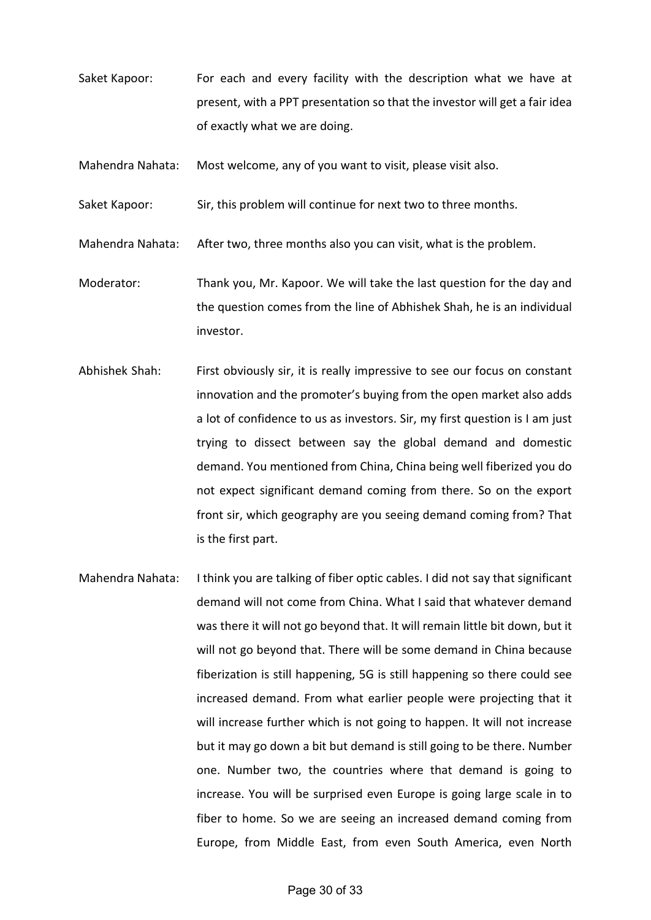- Saket Kapoor: For each and every facility with the description what we have at present, with a PPT presentation so that the investor will get a fair idea of exactly what we are doing.
- Mahendra Nahata: Most welcome, any of you want to visit, please visit also.
- Saket Kapoor: Sir, this problem will continue for next two to three months.

Mahendra Nahata: After two, three months also you can visit, what is the problem.

- Moderator: Thank you, Mr. Kapoor. We will take the last question for the day and the question comes from the line of Abhishek Shah, he is an individual investor.
- Abhishek Shah: First obviously sir, it is really impressive to see our focus on constant innovation and the promoter's buying from the open market also adds a lot of confidence to us as investors. Sir, my first question is I am just trying to dissect between say the global demand and domestic demand. You mentioned from China, China being well fiberized you do not expect significant demand coming from there. So on the export front sir, which geography are you seeing demand coming from? That is the first part.
- Mahendra Nahata: I think you are talking of fiber optic cables. I did not say that significant demand will not come from China. What I said that whatever demand was there it will not go beyond that. It will remain little bit down, but it will not go beyond that. There will be some demand in China because fiberization is still happening, 5G is still happening so there could see increased demand. From what earlier people were projecting that it will increase further which is not going to happen. It will not increase but it may go down a bit but demand is still going to be there. Number one. Number two, the countries where that demand is going to increase. You will be surprised even Europe is going large scale in to fiber to home. So we are seeing an increased demand coming from Europe, from Middle East, from even South America, even North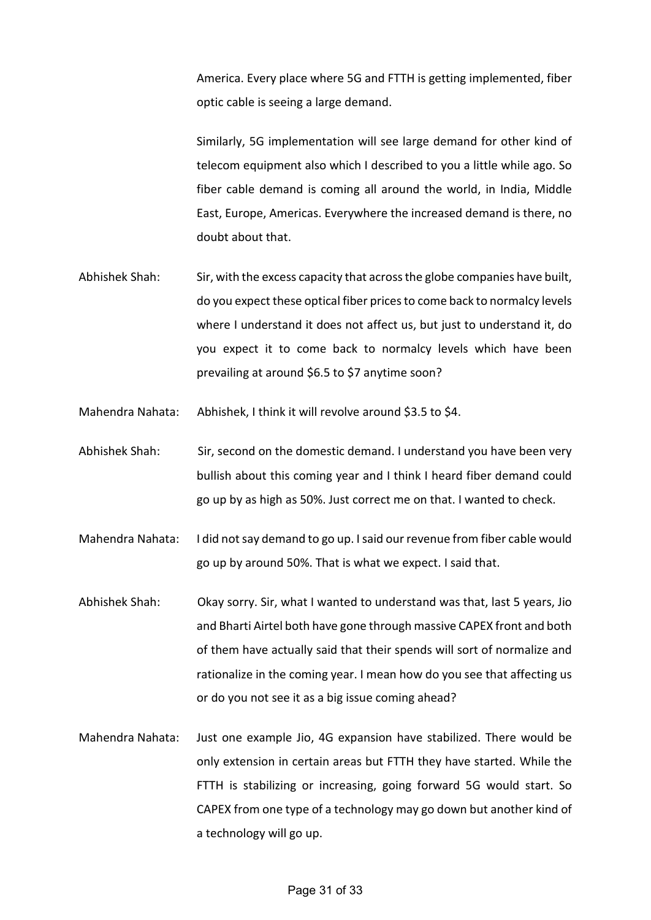America. Every place where 5G and FTTH is getting implemented, fiber optic cable is seeing a large demand.

Similarly, 5G implementation will see large demand for other kind of telecom equipment also which I described to you a little while ago. So fiber cable demand is coming all around the world, in India, Middle East, Europe, Americas. Everywhere the increased demand is there, no doubt about that.

Abhishek Shah: Sir, with the excess capacity that across the globe companies have built, do you expect these optical fiber prices to come back to normalcy levels where I understand it does not affect us, but just to understand it, do you expect it to come back to normalcy levels which have been prevailing at around \$6.5 to \$7 anytime soon?

Mahendra Nahata: Abhishek, I think it will revolve around \$3.5 to \$4.

- Abhishek Shah: Sir, second on the domestic demand. I understand you have been very bullish about this coming year and I think I heard fiber demand could go up by as high as 50%. Just correct me on that. I wanted to check.
- Mahendra Nahata: I did not say demand to go up. I said our revenue from fiber cable would go up by around 50%. That is what we expect. I said that.
- Abhishek Shah: Okay sorry. Sir, what I wanted to understand was that, last 5 years, Jio and Bharti Airtel both have gone through massive CAPEX front and both of them have actually said that their spends will sort of normalize and rationalize in the coming year. I mean how do you see that affecting us or do you not see it as a big issue coming ahead?
- Mahendra Nahata: Just one example Jio, 4G expansion have stabilized. There would be only extension in certain areas but FTTH they have started. While the FTTH is stabilizing or increasing, going forward 5G would start. So CAPEX from one type of a technology may go down but another kind of a technology will go up.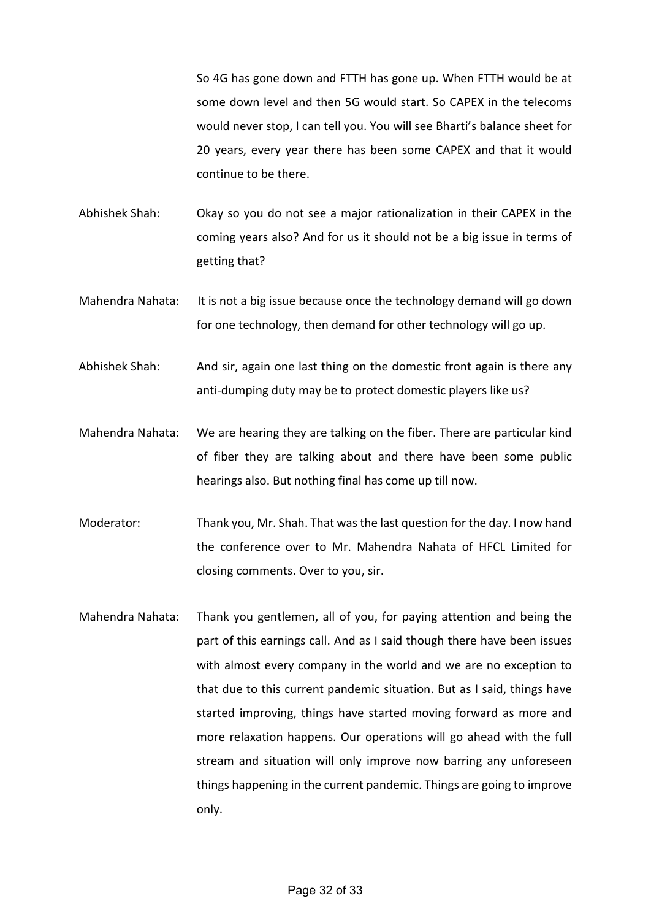So 4G has gone down and FTTH has gone up. When FTTH would be at some down level and then 5G would start. So CAPEX in the telecoms would never stop, I can tell you. You will see Bharti's balance sheet for 20 years, every year there has been some CAPEX and that it would continue to be there.

Abhishek Shah: Okay so you do not see a major rationalization in their CAPEX in the coming years also? And for us it should not be a big issue in terms of getting that?

Mahendra Nahata: It is not a big issue because once the technology demand will go down for one technology, then demand for other technology will go up.

Abhishek Shah: And sir, again one last thing on the domestic front again is there any anti-dumping duty may be to protect domestic players like us?

- Mahendra Nahata: We are hearing they are talking on the fiber. There are particular kind of fiber they are talking about and there have been some public hearings also. But nothing final has come up till now.
- Moderator: Thank you, Mr. Shah. That was the last question for the day. I now hand the conference over to Mr. Mahendra Nahata of HFCL Limited for closing comments. Over to you, sir.
- Mahendra Nahata: Thank you gentlemen, all of you, for paying attention and being the part of this earnings call. And as I said though there have been issues with almost every company in the world and we are no exception to that due to this current pandemic situation. But as I said, things have started improving, things have started moving forward as more and more relaxation happens. Our operations will go ahead with the full stream and situation will only improve now barring any unforeseen things happening in the current pandemic. Things are going to improve only.